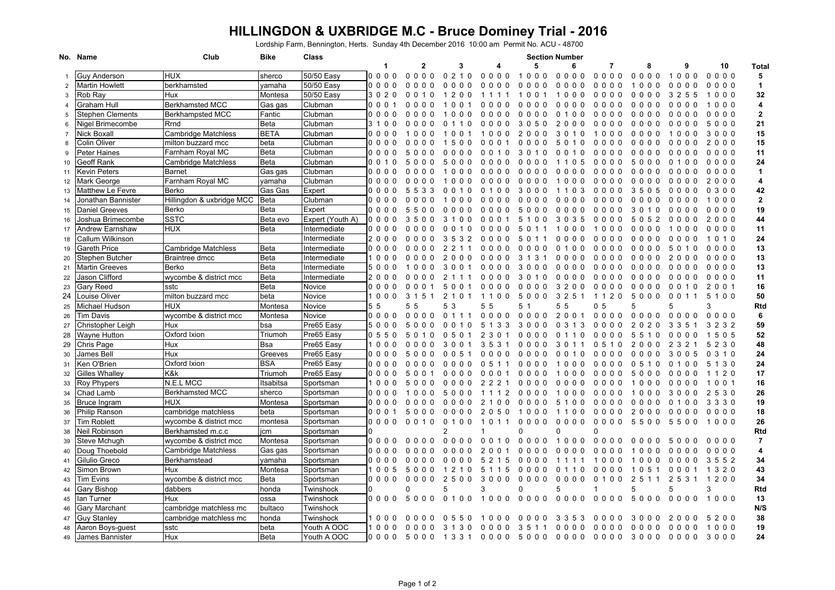## **HILLINGDON & UXBRIDGE M.C - Bruce Dominey Trial - 2016**

Lordship Farm, Bennington, Herts. Sunday 4th December 2016 10:00 am Permit No. ACU - 48700

| 5<br>$\mathbf{1}$<br>$\mathbf{2}$<br>3<br>6<br>8<br>9<br>10<br>4<br>7<br>Total<br><b>HUX</b><br>50/50 Easy<br>0000<br>0000<br>0210<br>$0000$<br>1000<br>$0000$<br>$0000$<br>0000<br>1000<br>$0000$<br><b>Guy Anderson</b><br>sherco<br>5<br>50/50 Easy<br>berkhamsted<br>0000<br>0000<br>$\mathbf{1}$<br><b>Martin Howlett</b><br>yamaha<br>$\Omega$<br>0 <sub>0</sub><br>0 <sub>0</sub><br>0 <sub>0</sub><br>0<br>000<br>0000<br>000<br>000<br>0<br>$\Omega$<br>- 0<br>0<br>0<br>$\Omega$<br>00<br>0<br>0<br>2<br>Rob Ray<br>Hux<br>50/50 Easy<br>3 2 5 5<br>32<br>Montesa<br>3 0 2 0<br>010<br>2<br>$\Omega$<br>- 0<br>001<br>000<br>0000<br>0000<br>1000<br>3<br>$\Omega$<br>-1<br>11<br>-1<br>-1<br>Berkhamsted MCC<br>4<br><b>Graham Hull</b><br>Clubman<br>000<br>Gas gas<br>0<br>$\Omega$<br>0<br>00<br>0<br>0<br>000<br>0000<br>0000<br>0000<br>1000<br>$\Omega$<br>0<br>- 0<br>_0 _0<br>$\Omega$<br>4<br>$\overline{\mathbf{2}}$<br><b>Berkhampsted MCC</b><br>Clubman<br><b>Stephen Clements</b><br>0000<br>Fantic<br>0 <sub>0</sub><br>0 <sub>0</sub><br>0000<br>0 <sub>0</sub><br>100<br>0000<br>0000<br>0000<br>0000<br>5<br>0<br>- 0<br>$\Omega$<br>00<br>0<br>21<br>Nigel Brimecombe<br>Rrnd<br>Beta<br>Clubman<br>3 1 0<br>5000<br>0<br>$\Omega$<br>3<br>0<br>5<br>0<br>2<br>0 <sub>0</sub><br>0 <sub>0</sub><br>0<br>- 0<br>$\mathbf 0$<br>0 <sub>0</sub><br>0<br>$\mathbf 0$<br>00<br>6<br>$\Omega$<br>Nick Boxall<br>BETA<br>15<br>Cambridge Matchless<br>Clubman<br>000<br>$\Omega$<br>2<br>0 <sub>0</sub><br>3<br>10<br>1000<br>000<br>3000<br>$\Omega$<br>0<br>0<br>0<br>0000<br>1<br>15<br>Colin Oliver<br>milton buzzard mcc<br>beta<br>Clubman<br>000<br>2000<br>$\mathbf 0$<br>8<br>n<br>0<br>$\Omega$<br>0<br>5<br>- 0<br>0 <sub>0</sub><br>0<br>0<br>0<br>0<br>0<br>0<br>0<br>$\mathbf{I}$<br>. O<br>- ( )<br>$\mathbf{U}$<br>Farnham Royal MC<br>11<br><b>Peter Haines</b><br>Beta<br>Clubman<br>0000<br>000<br>3<br>10<br>0000<br>0000<br>0000<br>9<br>- 0<br>5<br>$\Omega$<br>- 0<br>0<br>- 0<br>- 0<br>$\Omega$<br>1 O<br>$\Omega$<br>- ( )<br>24<br>Geoff Rank<br>Cambridge Matchless<br>Beta<br>Clubman<br>001<br>0000<br>0 <sub>0</sub><br>10<br>5<br>5<br>n<br>n<br>$\Omega$<br>n<br>$\Omega$<br>റ<br>0<br>5<br>0 <sub>0</sub><br>$\Omega$<br>0<br>5<br>0<br>0<br>100<br>$\mathbf{I}$<br>$\left( \right)$<br>$\mathbf{1}$<br>Kevin Peters<br>Barnet<br>Clubman<br>Gas gas<br>0000<br>000<br>0<br>0<br>0<br>00<br>0 <sub>0</sub><br>000<br>0000<br>11<br>- 0<br>$\Omega$<br>$\Omega$<br>- 0<br>$\Omega$<br>Farnham Royal MC<br>Clubman<br>Mark George<br>yamaha<br>000<br>2000<br>4<br>0<br>$\Omega$<br>0<br>0<br>0 <sub>0</sub><br>0 <sub>0</sub><br>0<br>- 0<br>$\mathbf 0$<br>0<br>0<br>000<br>12<br>42<br>Matthew Le Fevre<br>Berko<br>Gas Gas<br>Expert<br>0 3 0 0<br>000<br>0<br>5<br>533<br>0<br>- 0<br>100<br>3<br>000<br>103<br>0000<br>3505<br>0000<br>13<br>$\Omega$<br>-1<br>$\Omega$<br>$\overline{1}$<br>$\mathbf{2}$<br>Jonathan Bannister<br>Hillingdon & uxbridge MCC<br>Beta<br>Clubman<br>1000<br>0000<br>0000<br>000<br>0000<br>0<br>000<br>000<br>0000<br>000<br>0000<br>$\Omega$<br>0<br>14<br>19<br><b>Daniel Greeves</b><br>Berko<br>Beta<br>0000<br>Expert<br>000<br>5<br>0<br>00<br>0<br>000<br>3<br>01<br>0<br>0000<br>15<br>-5<br>- 0<br>$\Omega$<br>- 0<br>- 0<br>- 0<br>5<br>0<br>_0 _0<br>$\Omega$<br>$\Omega$<br><b>SSTC</b><br>44<br>Joshua Brimecombe<br>Beta evo<br>Expert (Youth A)<br>2000<br>000<br>35<br>3<br>0 3 5<br>052<br>0000<br>16<br>0<br>00<br>31<br>00<br>0<br>0 <sub>0</sub><br>5<br>00<br>0000<br>5<br>HUX<br>Beta<br>11<br>Andrew Earnshaw<br>000<br>0000<br>Intermediate<br><sup>0</sup><br>0<br>00<br>0<br>- 0<br>0<br>0<br>0<br>00<br>17<br>-0<br>5<br>0<br>0<br>Callum Wilkinson<br>24<br>2000<br>3 <sub>2</sub><br>Intermediate<br>$\Omega$<br>000<br>000<br>0000<br>0000<br>0000<br>1010<br>18<br>0<br>0<br>0<br>- 0<br>3<br>5<br>5<br>0<br>-1<br>0<br>Cambridge Matchless<br>13<br><b>Gareth Price</b><br>Beta<br>Intermediate<br>000<br>0000<br>0<br>0<br>0<br>0<br>19<br>$\Omega$<br>$\Omega$<br>$\Omega$<br>0<br>- 0<br>0<br>0<br>0<br>0<br>0 <sub>0</sub><br>0<br>0<br>0<br>0<br>0<br>5<br>$\mathbf{1}$<br>Braintree dmcc<br><b>Beta</b><br>Intermediate<br>13<br>Stephen Butcher<br>0000<br>2<br>000<br>3<br>3<br>0 <sub>0</sub><br>2000<br>20<br>10<br>0<br>00<br>- 0<br>0<br>0<br>0000<br>0<br>000<br>- 0<br>$\Omega$<br>$\Omega$<br>$\Omega$<br>$\Omega$<br>Berko<br>Beta<br>Intermediate<br>13<br><b>Martin Greeves</b><br>0000<br>500<br>3<br>0<br>00<br>0<br>3<br>$\Omega$<br>00<br>0 <sub>0</sub><br>0000<br>21<br>$\Omega$<br>$\Omega$<br>- 0<br>$\Omega$<br>0<br>0<br>0<br>$\Omega$<br>00<br>$\Omega$<br>0<br>0<br>0<br>11<br>Jason Clifford<br>wycombe & district mcc<br>Beta<br>Intermediate<br>200<br>$000$<br>3<br>0 <sub>0</sub><br>0000<br>0000<br>0000<br>22<br>0<br>0<br><sup>0</sup><br>0<br>2<br>0<br>010<br>0<br>0<br>0000<br><b>Gary Reed</b><br>16<br>sstc<br>Beta<br>Novice<br>000<br>2 0 0 1<br>23<br>50<br>0<br>0<br>0 <sub>0</sub><br>0 <sub>0</sub><br>3200<br>0000<br>000<br>0<br>0<br>0<br>0<br>0<br>0<br>10<br>50<br>24<br>Louise Oliver<br>milton buzzard mcc<br>Novice<br>1000<br>31<br>21<br>5 1 0 0<br>beta<br>51<br>0<br>1100<br>5000<br>3251<br>1120<br>5000<br>0 <sub>0</sub><br>11<br>Michael Hudson<br><b>HUX</b><br>5 5<br>55<br>5 3<br>55<br>5 <sub>1</sub><br>55<br>0 <sub>5</sub><br>5<br>3<br><b>Rtd</b><br>Montesa<br>Novice<br>5<br>25<br>6<br>wycombe & district mcc<br>Novice<br>0000<br>2001<br>$0000$<br>Tim Davis<br>Montesa<br>000<br>0 <sub>0</sub><br>0 <sub>0</sub><br>0 <sub>1</sub><br>0000<br>0000<br>0000<br>0000<br>0<br>26<br>-1<br>Hux<br>Pre65 Easy<br>59<br>Christopher Leigh<br>bsa<br>500<br>1 0<br>5 1<br>3<br>3<br>3000<br>3 1 3<br>0000<br>2020<br>3 3 5 1<br>3 2 3 2<br>$\Omega$<br>5<br>$\Omega$<br>0<br>- 0<br>0<br>$\Omega$<br>$\mathbf{0}$<br>27<br>52<br><b>Wayne Hutton</b><br>Oxford Ixion<br>Pre65 Easy<br>28<br>Triumoh<br>0 5 5 0<br>2<br>-3<br>0000<br>110<br>0000<br>5 5 1 0<br>0000<br>1505<br>5<br><sup>0</sup><br>- 0<br>0<br>-5<br>0<br>0<br>0<br>-1<br>48<br>Chris Page<br>Hux<br>Bsa<br>Pre65 Easy<br>2 3 2 1<br>5 2 3 0<br>29<br>100<br>0 O<br>3<br>35<br>3<br>0000<br>3<br>11<br>0 5 1 0<br>2000<br>$\Omega$<br>0<br>$\Omega$<br>$\Omega$<br>$\Omega$<br>-1<br>0<br>24<br>James Bell<br>Hux<br>Pre65 Easy<br>Greeves<br>000<br>300<br>0 3 1 0<br>-5<br>0<br>0<br>0<br>0<br>00<br>0<br>10<br>0000<br>0<br>000<br>30<br>$\Omega$<br>$\Omega$<br>- 0<br>$\Omega$<br>-5<br>$\mathbf{b}$<br><b>BSA</b><br>Ken O'Brien<br>Oxford Ixion<br>Pre65 Easy<br>24<br>0000<br>5 1 3 0<br>0 <sub>0</sub><br>0 <sub>0</sub><br>0<br>000<br>0000<br>000<br>0000<br>0 5 1 0<br>0100<br>31<br>-5<br>-1<br>-1<br>17<br>K&k<br><b>Gilles Whalley</b><br>Triumoh<br>Pre65 Easy<br>000<br>1120<br>5<br>0<br>0<br>0<br>0<br>0<br>0<br>00<br>0 <sub>0</sub><br>$\Omega$<br>$\Omega$<br>5<br>0<br>00<br>0 <sub>0</sub><br>00<br>32<br>-1<br>N.E.L MCC<br>16<br><b>Roy Phypers</b><br>Itsabitsa<br>Sportsman<br>10<br>5<br>2<br>2<br>2<br>0<br>000<br>0 <sub>0</sub><br>0000<br>$0\;0\;0$<br>0000<br>1001<br>33<br>0<br>0<br>00<br>0<br>0<br>00<br>0<br>0<br><b>Berkhamsted MCC</b><br>26<br>Chad Lamb<br>sherco<br>Sportsman<br>00<br>530<br>5<br>0<br>0<br>0<br>3<br>0<br>2<br>34<br>- 0<br>$\Omega$<br>$\Omega$<br>- 0<br>$\Omega$<br>- 0<br>0<br>- 0<br>-0<br>-1<br>0<br>00<br>$\Omega$<br>- 0<br>- 0<br>0<br>0<br>0<br>HUX<br>19<br><b>Bruce Ingram</b><br>Montesa<br>Sportsman<br>3 3 3 0<br>0000<br>2 1 0 0<br>0000<br>5 1 0 0<br>0000<br>0000<br>0100<br>0<br>0<br>00<br>0<br>0<br>00<br>35<br>cambridge matchless<br>18<br>Philip Ranson<br>beta<br>Sportsman<br>0 0 0 1<br>0 <sub>0</sub><br>0000<br>2000<br>0000<br>0000<br>5<br>0<br>00<br>0<br>0<br>2<br>0<br>0<br>0<br>0<br>0<br>36<br>-0<br>$\Omega$<br>5<br>-1<br>-1<br>26<br>Tim Roblett<br>wycombe & district mcc<br>Sportsman<br>0000<br>0000<br>1000<br>montesa<br>0000<br>0 <sub>0</sub><br>10<br>0<br>0 <sub>0</sub><br>0000<br>5500<br>5500<br>37<br>0<br>11<br>-1<br>$\overline{2}$<br>0<br>$\Omega$<br><b>Rtd</b><br>Neil Robinson<br>Berkhamsted m.c.c<br>0<br>jcm<br>Sportsman<br>38<br>$\overline{7}$<br>0000<br>1000<br>Steve Mchugh<br>wycombe & district mcc<br>Montesa<br>0000<br>0000<br>0 0 1 0<br>0000<br>0000<br>Sportsman<br>0000<br>0000<br>5<br>000<br>39<br>4<br>Doug Thoebold<br>Cambridge Matchless<br>000<br>000<br>0<br>0 <sub>0</sub><br>2<br>0<br>0000<br>000<br>0 <sub>0</sub><br>000<br>0000<br>0000<br>Gas gas<br>Sportsman<br>0<br>0<br>0<br>0<br>0<br>0<br>0<br>1<br>40<br>Gilulio Greco<br>34<br>Berkhamstead<br>0000<br>0000<br>00<br>5<br>2 1 5<br>$\Omega$<br>1000<br>0000<br>3552<br>yamaha<br>Sportsman<br>0 <sub>0</sub><br>000<br>10<br>0 <sub>0</sub><br>41<br>-1<br>111<br>Simon Brown<br>Hux<br>43<br>Montesa<br>Sportsman<br>1005<br>5<br>5 1<br>15<br>$0000$<br>000<br>1 3 2 0<br>000<br>2<br>- 0<br>110<br>0000<br>1051<br>42<br>-1<br>-1<br>0<br>-1<br>34<br><b>Tim Evins</b><br>wycombe & district mcc<br>Beta<br>Sportsman<br>0000<br>0000<br>25<br>0 <sub>0</sub><br>3000<br>0000<br>0000<br>0100<br>2 5 1 1<br>2 5 3 1<br>1200<br>43<br>Rtd<br>3<br>$\Omega$<br>5<br>3<br>Gary Bishop<br>dabbers<br>O<br>5<br>5<br>5<br>honda<br>Twinshock<br>44<br><b>Hux</b><br>13<br>5<br>$\Omega$<br>$\Omega$<br>$000$<br>0 <sub>0</sub><br>0 <sub>0</sub><br>0 <sub>0</sub><br>$\mathbf 0$<br>500<br>$\Omega$<br>0000<br>1000<br>lan Turner<br>ossa<br>Twinshock<br>0000<br>$\Omega$<br>0 <sub>0</sub><br>$\Omega$<br>$\mathbf{1}$<br>0 <sub>0</sub><br>0 <sub>0</sub><br>$\Omega$<br>45<br>- 1<br>N/S<br><b>Gary Marchant</b><br>cambridge matchless mc<br>bultaco<br>Twinshock<br>46<br>cambridge matchless mc<br>Twinshock<br>38<br><b>Guy Stanley</b><br>honda<br>1000<br>5200<br>47<br>0<br>0<br>0<br>5<br>$\Omega$<br>0<br>0<br>$\Omega$<br>0<br>0<br>0<br>3<br>3<br>-5<br>3<br>0 <sub>0</sub><br>$\Omega$<br>$\Omega$<br>3<br>$\Omega$<br>0<br>0<br>2<br>0<br>0<br>0<br>.5<br>$\Omega$<br>19<br>sstc<br>beta<br>Youth A OOC<br>Aaron Boys-guest<br>3 1 3 0<br>0000<br>3<br>0000<br>0000<br>0000<br>0000<br>1000<br>1000<br>0000<br>511<br>48<br><b>Hux</b><br>Beta<br>Youth A OOC<br>24<br><b>James Bannister</b><br>0000<br>5000<br>1331<br>0000<br>5000 0000<br>0000<br>3000<br>0000<br>3000<br>49 | No. Name | Club | Bike | Class | <b>Section Number</b> |  |  |  |  |  |  |  |  |  |  |
|-----------------------------------------------------------------------------------------------------------------------------------------------------------------------------------------------------------------------------------------------------------------------------------------------------------------------------------------------------------------------------------------------------------------------------------------------------------------------------------------------------------------------------------------------------------------------------------------------------------------------------------------------------------------------------------------------------------------------------------------------------------------------------------------------------------------------------------------------------------------------------------------------------------------------------------------------------------------------------------------------------------------------------------------------------------------------------------------------------------------------------------------------------------------------------------------------------------------------------------------------------------------------------------------------------------------------------------------------------------------------------------------------------------------------------------------------------------------------------------------------------------------------------------------------------------------------------------------------------------------------------------------------------------------------------------------------------------------------------------------------------------------------------------------------------------------------------------------------------------------------------------------------------------------------------------------------------------------------------------------------------------------------------------------------------------------------------------------------------------------------------------------------------------------------------------------------------------------------------------------------------------------------------------------------------------------------------------------------------------------------------------------------------------------------------------------------------------------------------------------------------------------------------------------------------------------------------------------------------------------------------------------------------------------------------------------------------------------------------------------------------------------------------------------------------------------------------------------------------------------------------------------------------------------------------------------------------------------------------------------------------------------------------------------------------------------------------------------------------------------------------------------------------------------------------------------------------------------------------------------------------------------------------------------------------------------------------------------------------------------------------------------------------------------------------------------------------------------------------------------------------------------------------------------------------------------------------------------------------------------------------------------------------------------------------------------------------------------------------------------------------------------------------------------------------------------------------------------------------------------------------------------------------------------------------------------------------------------------------------------------------------------------------------------------------------------------------------------------------------------------------------------------------------------------------------------------------------------------------------------------------------------------------------------------------------------------------------------------------------------------------------------------------------------------------------------------------------------------------------------------------------------------------------------------------------------------------------------------------------------------------------------------------------------------------------------------------------------------------------------------------------------------------------------------------------------------------------------------------------------------------------------------------------------------------------------------------------------------------------------------------------------------------------------------------------------------------------------------------------------------------------------------------------------------------------------------------------------------------------------------------------------------------------------------------------------------------------------------------------------------------------------------------------------------------------------------------------------------------------------------------------------------------------------------------------------------------------------------------------------------------------------------------------------------------------------------------------------------------------------------------------------------------------------------------------------------------------------------------------------------------------------------------------------------------------------------------------------------------------------------------------------------------------------------------------------------------------------------------------------------------------------------------------------------------------------------------------------------------------------------------------------------------------------------------------------------------------------------------------------------------------------------------------------------------------------------------------------------------------------------------------------------------------------------------------------------------------------------------------------------------------------------------------------------------------------------------------------------------------------------------------------------------------------------------------------------------------------------------------------------------------------------------------------------------------------------------------------------------------------------------------------------------------------------------------------------------------------------------------------------------------------------------------------------------------------------------------------------------------------------------------------------------------------------------------------------------------------------------------------------------------------------------------------------------------------------------------------------------------------------------------------------------------------------------------------------------------------------------------------------------------------------------------------------------------------------------------------------------------------------------------------------------------------------------------------------------------------------------------------------------------------------------------------------------------------------------------------------------------------------------------------------------------------------------------------------------------------------------------------------------------------------------------------------------------------------------------------------------------------------------------------------------------------------------------------------------------------------------------------------------------------------------------------------------------------------------------------------------------------------------------------------------------------------------------------------------------------------------------------------------------------------------------------------------------------------------------------------------------------------------------------------------------------------------------------------------------------------------------------------------------------------------------------------------------------------------------------------------------------------------------------------------------------------------------------------------------------------------------------------------------------------------------------------------------------------------------------------------------------------------------------------------------------------------------------------------------------------------------------------------------------------------------------------------------------------------------------------------------------------------------------------------------------------------------------------------------------------------------------------------------------------------------------------------------------------------------------------------------------------------------------------------------------------------------------------------------------------------------------------------------------------------------------------------------------------------------------------------------------------------------------------------------------------------------------------------------------------------------------------------------------------------------------------------------------------------------------------------------------------------------------------------------------------------------------------------------------------------------------------------------------|----------|------|------|-------|-----------------------|--|--|--|--|--|--|--|--|--|--|
|                                                                                                                                                                                                                                                                                                                                                                                                                                                                                                                                                                                                                                                                                                                                                                                                                                                                                                                                                                                                                                                                                                                                                                                                                                                                                                                                                                                                                                                                                                                                                                                                                                                                                                                                                                                                                                                                                                                                                                                                                                                                                                                                                                                                                                                                                                                                                                                                                                                                                                                                                                                                                                                                                                                                                                                                                                                                                                                                                                                                                                                                                                                                                                                                                                                                                                                                                                                                                                                                                                                                                                                                                                                                                                                                                                                                                                                                                                                                                                                                                                                                                                                                                                                                                                                                                                                                                                                                                                                                                                                                                                                                                                                                                                                                                                                                                                                                                                                                                                                                                                                                                                                                                                                                                                                                                                                                                                                                                                                                                                                                                                                                                                                                                                                                                                                                                                                                                                                                                                                                                                                                                                                                                                                                                                                                                                                                                                                                                                                                                                                                                                                                                                                                                                                                                                                                                                                                                                                                                                                                                                                                                                                                                                                                                                                                                                                                                                                                                                                                                                                                                                                                                                                                                                                                                                                                                                                                                                                                                                                                                                                                                                                                                                                                                                                                                                                                                                                                                                                                                                                                                                                                                                                                                                                                                                                                                                                                                                                                                                                                                                                                                                                                                                                                                                                                                                                                                                                                                                                                                                                                                                                                                                                                                                                                                                                                                                                                                                                                                                                                                                                                                                                                                                                                                                                                                                                                                                                         |          |      |      |       |                       |  |  |  |  |  |  |  |  |  |  |
|                                                                                                                                                                                                                                                                                                                                                                                                                                                                                                                                                                                                                                                                                                                                                                                                                                                                                                                                                                                                                                                                                                                                                                                                                                                                                                                                                                                                                                                                                                                                                                                                                                                                                                                                                                                                                                                                                                                                                                                                                                                                                                                                                                                                                                                                                                                                                                                                                                                                                                                                                                                                                                                                                                                                                                                                                                                                                                                                                                                                                                                                                                                                                                                                                                                                                                                                                                                                                                                                                                                                                                                                                                                                                                                                                                                                                                                                                                                                                                                                                                                                                                                                                                                                                                                                                                                                                                                                                                                                                                                                                                                                                                                                                                                                                                                                                                                                                                                                                                                                                                                                                                                                                                                                                                                                                                                                                                                                                                                                                                                                                                                                                                                                                                                                                                                                                                                                                                                                                                                                                                                                                                                                                                                                                                                                                                                                                                                                                                                                                                                                                                                                                                                                                                                                                                                                                                                                                                                                                                                                                                                                                                                                                                                                                                                                                                                                                                                                                                                                                                                                                                                                                                                                                                                                                                                                                                                                                                                                                                                                                                                                                                                                                                                                                                                                                                                                                                                                                                                                                                                                                                                                                                                                                                                                                                                                                                                                                                                                                                                                                                                                                                                                                                                                                                                                                                                                                                                                                                                                                                                                                                                                                                                                                                                                                                                                                                                                                                                                                                                                                                                                                                                                                                                                                                                                                                                                                                                         |          |      |      |       |                       |  |  |  |  |  |  |  |  |  |  |
|                                                                                                                                                                                                                                                                                                                                                                                                                                                                                                                                                                                                                                                                                                                                                                                                                                                                                                                                                                                                                                                                                                                                                                                                                                                                                                                                                                                                                                                                                                                                                                                                                                                                                                                                                                                                                                                                                                                                                                                                                                                                                                                                                                                                                                                                                                                                                                                                                                                                                                                                                                                                                                                                                                                                                                                                                                                                                                                                                                                                                                                                                                                                                                                                                                                                                                                                                                                                                                                                                                                                                                                                                                                                                                                                                                                                                                                                                                                                                                                                                                                                                                                                                                                                                                                                                                                                                                                                                                                                                                                                                                                                                                                                                                                                                                                                                                                                                                                                                                                                                                                                                                                                                                                                                                                                                                                                                                                                                                                                                                                                                                                                                                                                                                                                                                                                                                                                                                                                                                                                                                                                                                                                                                                                                                                                                                                                                                                                                                                                                                                                                                                                                                                                                                                                                                                                                                                                                                                                                                                                                                                                                                                                                                                                                                                                                                                                                                                                                                                                                                                                                                                                                                                                                                                                                                                                                                                                                                                                                                                                                                                                                                                                                                                                                                                                                                                                                                                                                                                                                                                                                                                                                                                                                                                                                                                                                                                                                                                                                                                                                                                                                                                                                                                                                                                                                                                                                                                                                                                                                                                                                                                                                                                                                                                                                                                                                                                                                                                                                                                                                                                                                                                                                                                                                                                                                                                                                                                         |          |      |      |       |                       |  |  |  |  |  |  |  |  |  |  |
|                                                                                                                                                                                                                                                                                                                                                                                                                                                                                                                                                                                                                                                                                                                                                                                                                                                                                                                                                                                                                                                                                                                                                                                                                                                                                                                                                                                                                                                                                                                                                                                                                                                                                                                                                                                                                                                                                                                                                                                                                                                                                                                                                                                                                                                                                                                                                                                                                                                                                                                                                                                                                                                                                                                                                                                                                                                                                                                                                                                                                                                                                                                                                                                                                                                                                                                                                                                                                                                                                                                                                                                                                                                                                                                                                                                                                                                                                                                                                                                                                                                                                                                                                                                                                                                                                                                                                                                                                                                                                                                                                                                                                                                                                                                                                                                                                                                                                                                                                                                                                                                                                                                                                                                                                                                                                                                                                                                                                                                                                                                                                                                                                                                                                                                                                                                                                                                                                                                                                                                                                                                                                                                                                                                                                                                                                                                                                                                                                                                                                                                                                                                                                                                                                                                                                                                                                                                                                                                                                                                                                                                                                                                                                                                                                                                                                                                                                                                                                                                                                                                                                                                                                                                                                                                                                                                                                                                                                                                                                                                                                                                                                                                                                                                                                                                                                                                                                                                                                                                                                                                                                                                                                                                                                                                                                                                                                                                                                                                                                                                                                                                                                                                                                                                                                                                                                                                                                                                                                                                                                                                                                                                                                                                                                                                                                                                                                                                                                                                                                                                                                                                                                                                                                                                                                                                                                                                                                                                         |          |      |      |       |                       |  |  |  |  |  |  |  |  |  |  |
|                                                                                                                                                                                                                                                                                                                                                                                                                                                                                                                                                                                                                                                                                                                                                                                                                                                                                                                                                                                                                                                                                                                                                                                                                                                                                                                                                                                                                                                                                                                                                                                                                                                                                                                                                                                                                                                                                                                                                                                                                                                                                                                                                                                                                                                                                                                                                                                                                                                                                                                                                                                                                                                                                                                                                                                                                                                                                                                                                                                                                                                                                                                                                                                                                                                                                                                                                                                                                                                                                                                                                                                                                                                                                                                                                                                                                                                                                                                                                                                                                                                                                                                                                                                                                                                                                                                                                                                                                                                                                                                                                                                                                                                                                                                                                                                                                                                                                                                                                                                                                                                                                                                                                                                                                                                                                                                                                                                                                                                                                                                                                                                                                                                                                                                                                                                                                                                                                                                                                                                                                                                                                                                                                                                                                                                                                                                                                                                                                                                                                                                                                                                                                                                                                                                                                                                                                                                                                                                                                                                                                                                                                                                                                                                                                                                                                                                                                                                                                                                                                                                                                                                                                                                                                                                                                                                                                                                                                                                                                                                                                                                                                                                                                                                                                                                                                                                                                                                                                                                                                                                                                                                                                                                                                                                                                                                                                                                                                                                                                                                                                                                                                                                                                                                                                                                                                                                                                                                                                                                                                                                                                                                                                                                                                                                                                                                                                                                                                                                                                                                                                                                                                                                                                                                                                                                                                                                                                                                         |          |      |      |       |                       |  |  |  |  |  |  |  |  |  |  |
|                                                                                                                                                                                                                                                                                                                                                                                                                                                                                                                                                                                                                                                                                                                                                                                                                                                                                                                                                                                                                                                                                                                                                                                                                                                                                                                                                                                                                                                                                                                                                                                                                                                                                                                                                                                                                                                                                                                                                                                                                                                                                                                                                                                                                                                                                                                                                                                                                                                                                                                                                                                                                                                                                                                                                                                                                                                                                                                                                                                                                                                                                                                                                                                                                                                                                                                                                                                                                                                                                                                                                                                                                                                                                                                                                                                                                                                                                                                                                                                                                                                                                                                                                                                                                                                                                                                                                                                                                                                                                                                                                                                                                                                                                                                                                                                                                                                                                                                                                                                                                                                                                                                                                                                                                                                                                                                                                                                                                                                                                                                                                                                                                                                                                                                                                                                                                                                                                                                                                                                                                                                                                                                                                                                                                                                                                                                                                                                                                                                                                                                                                                                                                                                                                                                                                                                                                                                                                                                                                                                                                                                                                                                                                                                                                                                                                                                                                                                                                                                                                                                                                                                                                                                                                                                                                                                                                                                                                                                                                                                                                                                                                                                                                                                                                                                                                                                                                                                                                                                                                                                                                                                                                                                                                                                                                                                                                                                                                                                                                                                                                                                                                                                                                                                                                                                                                                                                                                                                                                                                                                                                                                                                                                                                                                                                                                                                                                                                                                                                                                                                                                                                                                                                                                                                                                                                                                                                                                                         |          |      |      |       |                       |  |  |  |  |  |  |  |  |  |  |
|                                                                                                                                                                                                                                                                                                                                                                                                                                                                                                                                                                                                                                                                                                                                                                                                                                                                                                                                                                                                                                                                                                                                                                                                                                                                                                                                                                                                                                                                                                                                                                                                                                                                                                                                                                                                                                                                                                                                                                                                                                                                                                                                                                                                                                                                                                                                                                                                                                                                                                                                                                                                                                                                                                                                                                                                                                                                                                                                                                                                                                                                                                                                                                                                                                                                                                                                                                                                                                                                                                                                                                                                                                                                                                                                                                                                                                                                                                                                                                                                                                                                                                                                                                                                                                                                                                                                                                                                                                                                                                                                                                                                                                                                                                                                                                                                                                                                                                                                                                                                                                                                                                                                                                                                                                                                                                                                                                                                                                                                                                                                                                                                                                                                                                                                                                                                                                                                                                                                                                                                                                                                                                                                                                                                                                                                                                                                                                                                                                                                                                                                                                                                                                                                                                                                                                                                                                                                                                                                                                                                                                                                                                                                                                                                                                                                                                                                                                                                                                                                                                                                                                                                                                                                                                                                                                                                                                                                                                                                                                                                                                                                                                                                                                                                                                                                                                                                                                                                                                                                                                                                                                                                                                                                                                                                                                                                                                                                                                                                                                                                                                                                                                                                                                                                                                                                                                                                                                                                                                                                                                                                                                                                                                                                                                                                                                                                                                                                                                                                                                                                                                                                                                                                                                                                                                                                                                                                                                                         |          |      |      |       |                       |  |  |  |  |  |  |  |  |  |  |
|                                                                                                                                                                                                                                                                                                                                                                                                                                                                                                                                                                                                                                                                                                                                                                                                                                                                                                                                                                                                                                                                                                                                                                                                                                                                                                                                                                                                                                                                                                                                                                                                                                                                                                                                                                                                                                                                                                                                                                                                                                                                                                                                                                                                                                                                                                                                                                                                                                                                                                                                                                                                                                                                                                                                                                                                                                                                                                                                                                                                                                                                                                                                                                                                                                                                                                                                                                                                                                                                                                                                                                                                                                                                                                                                                                                                                                                                                                                                                                                                                                                                                                                                                                                                                                                                                                                                                                                                                                                                                                                                                                                                                                                                                                                                                                                                                                                                                                                                                                                                                                                                                                                                                                                                                                                                                                                                                                                                                                                                                                                                                                                                                                                                                                                                                                                                                                                                                                                                                                                                                                                                                                                                                                                                                                                                                                                                                                                                                                                                                                                                                                                                                                                                                                                                                                                                                                                                                                                                                                                                                                                                                                                                                                                                                                                                                                                                                                                                                                                                                                                                                                                                                                                                                                                                                                                                                                                                                                                                                                                                                                                                                                                                                                                                                                                                                                                                                                                                                                                                                                                                                                                                                                                                                                                                                                                                                                                                                                                                                                                                                                                                                                                                                                                                                                                                                                                                                                                                                                                                                                                                                                                                                                                                                                                                                                                                                                                                                                                                                                                                                                                                                                                                                                                                                                                                                                                                                                                         |          |      |      |       |                       |  |  |  |  |  |  |  |  |  |  |
|                                                                                                                                                                                                                                                                                                                                                                                                                                                                                                                                                                                                                                                                                                                                                                                                                                                                                                                                                                                                                                                                                                                                                                                                                                                                                                                                                                                                                                                                                                                                                                                                                                                                                                                                                                                                                                                                                                                                                                                                                                                                                                                                                                                                                                                                                                                                                                                                                                                                                                                                                                                                                                                                                                                                                                                                                                                                                                                                                                                                                                                                                                                                                                                                                                                                                                                                                                                                                                                                                                                                                                                                                                                                                                                                                                                                                                                                                                                                                                                                                                                                                                                                                                                                                                                                                                                                                                                                                                                                                                                                                                                                                                                                                                                                                                                                                                                                                                                                                                                                                                                                                                                                                                                                                                                                                                                                                                                                                                                                                                                                                                                                                                                                                                                                                                                                                                                                                                                                                                                                                                                                                                                                                                                                                                                                                                                                                                                                                                                                                                                                                                                                                                                                                                                                                                                                                                                                                                                                                                                                                                                                                                                                                                                                                                                                                                                                                                                                                                                                                                                                                                                                                                                                                                                                                                                                                                                                                                                                                                                                                                                                                                                                                                                                                                                                                                                                                                                                                                                                                                                                                                                                                                                                                                                                                                                                                                                                                                                                                                                                                                                                                                                                                                                                                                                                                                                                                                                                                                                                                                                                                                                                                                                                                                                                                                                                                                                                                                                                                                                                                                                                                                                                                                                                                                                                                                                                                                                         |          |      |      |       |                       |  |  |  |  |  |  |  |  |  |  |
|                                                                                                                                                                                                                                                                                                                                                                                                                                                                                                                                                                                                                                                                                                                                                                                                                                                                                                                                                                                                                                                                                                                                                                                                                                                                                                                                                                                                                                                                                                                                                                                                                                                                                                                                                                                                                                                                                                                                                                                                                                                                                                                                                                                                                                                                                                                                                                                                                                                                                                                                                                                                                                                                                                                                                                                                                                                                                                                                                                                                                                                                                                                                                                                                                                                                                                                                                                                                                                                                                                                                                                                                                                                                                                                                                                                                                                                                                                                                                                                                                                                                                                                                                                                                                                                                                                                                                                                                                                                                                                                                                                                                                                                                                                                                                                                                                                                                                                                                                                                                                                                                                                                                                                                                                                                                                                                                                                                                                                                                                                                                                                                                                                                                                                                                                                                                                                                                                                                                                                                                                                                                                                                                                                                                                                                                                                                                                                                                                                                                                                                                                                                                                                                                                                                                                                                                                                                                                                                                                                                                                                                                                                                                                                                                                                                                                                                                                                                                                                                                                                                                                                                                                                                                                                                                                                                                                                                                                                                                                                                                                                                                                                                                                                                                                                                                                                                                                                                                                                                                                                                                                                                                                                                                                                                                                                                                                                                                                                                                                                                                                                                                                                                                                                                                                                                                                                                                                                                                                                                                                                                                                                                                                                                                                                                                                                                                                                                                                                                                                                                                                                                                                                                                                                                                                                                                                                                                                                                         |          |      |      |       |                       |  |  |  |  |  |  |  |  |  |  |
|                                                                                                                                                                                                                                                                                                                                                                                                                                                                                                                                                                                                                                                                                                                                                                                                                                                                                                                                                                                                                                                                                                                                                                                                                                                                                                                                                                                                                                                                                                                                                                                                                                                                                                                                                                                                                                                                                                                                                                                                                                                                                                                                                                                                                                                                                                                                                                                                                                                                                                                                                                                                                                                                                                                                                                                                                                                                                                                                                                                                                                                                                                                                                                                                                                                                                                                                                                                                                                                                                                                                                                                                                                                                                                                                                                                                                                                                                                                                                                                                                                                                                                                                                                                                                                                                                                                                                                                                                                                                                                                                                                                                                                                                                                                                                                                                                                                                                                                                                                                                                                                                                                                                                                                                                                                                                                                                                                                                                                                                                                                                                                                                                                                                                                                                                                                                                                                                                                                                                                                                                                                                                                                                                                                                                                                                                                                                                                                                                                                                                                                                                                                                                                                                                                                                                                                                                                                                                                                                                                                                                                                                                                                                                                                                                                                                                                                                                                                                                                                                                                                                                                                                                                                                                                                                                                                                                                                                                                                                                                                                                                                                                                                                                                                                                                                                                                                                                                                                                                                                                                                                                                                                                                                                                                                                                                                                                                                                                                                                                                                                                                                                                                                                                                                                                                                                                                                                                                                                                                                                                                                                                                                                                                                                                                                                                                                                                                                                                                                                                                                                                                                                                                                                                                                                                                                                                                                                                                                         |          |      |      |       |                       |  |  |  |  |  |  |  |  |  |  |
|                                                                                                                                                                                                                                                                                                                                                                                                                                                                                                                                                                                                                                                                                                                                                                                                                                                                                                                                                                                                                                                                                                                                                                                                                                                                                                                                                                                                                                                                                                                                                                                                                                                                                                                                                                                                                                                                                                                                                                                                                                                                                                                                                                                                                                                                                                                                                                                                                                                                                                                                                                                                                                                                                                                                                                                                                                                                                                                                                                                                                                                                                                                                                                                                                                                                                                                                                                                                                                                                                                                                                                                                                                                                                                                                                                                                                                                                                                                                                                                                                                                                                                                                                                                                                                                                                                                                                                                                                                                                                                                                                                                                                                                                                                                                                                                                                                                                                                                                                                                                                                                                                                                                                                                                                                                                                                                                                                                                                                                                                                                                                                                                                                                                                                                                                                                                                                                                                                                                                                                                                                                                                                                                                                                                                                                                                                                                                                                                                                                                                                                                                                                                                                                                                                                                                                                                                                                                                                                                                                                                                                                                                                                                                                                                                                                                                                                                                                                                                                                                                                                                                                                                                                                                                                                                                                                                                                                                                                                                                                                                                                                                                                                                                                                                                                                                                                                                                                                                                                                                                                                                                                                                                                                                                                                                                                                                                                                                                                                                                                                                                                                                                                                                                                                                                                                                                                                                                                                                                                                                                                                                                                                                                                                                                                                                                                                                                                                                                                                                                                                                                                                                                                                                                                                                                                                                                                                                                                                         |          |      |      |       |                       |  |  |  |  |  |  |  |  |  |  |
|                                                                                                                                                                                                                                                                                                                                                                                                                                                                                                                                                                                                                                                                                                                                                                                                                                                                                                                                                                                                                                                                                                                                                                                                                                                                                                                                                                                                                                                                                                                                                                                                                                                                                                                                                                                                                                                                                                                                                                                                                                                                                                                                                                                                                                                                                                                                                                                                                                                                                                                                                                                                                                                                                                                                                                                                                                                                                                                                                                                                                                                                                                                                                                                                                                                                                                                                                                                                                                                                                                                                                                                                                                                                                                                                                                                                                                                                                                                                                                                                                                                                                                                                                                                                                                                                                                                                                                                                                                                                                                                                                                                                                                                                                                                                                                                                                                                                                                                                                                                                                                                                                                                                                                                                                                                                                                                                                                                                                                                                                                                                                                                                                                                                                                                                                                                                                                                                                                                                                                                                                                                                                                                                                                                                                                                                                                                                                                                                                                                                                                                                                                                                                                                                                                                                                                                                                                                                                                                                                                                                                                                                                                                                                                                                                                                                                                                                                                                                                                                                                                                                                                                                                                                                                                                                                                                                                                                                                                                                                                                                                                                                                                                                                                                                                                                                                                                                                                                                                                                                                                                                                                                                                                                                                                                                                                                                                                                                                                                                                                                                                                                                                                                                                                                                                                                                                                                                                                                                                                                                                                                                                                                                                                                                                                                                                                                                                                                                                                                                                                                                                                                                                                                                                                                                                                                                                                                                                                                         |          |      |      |       |                       |  |  |  |  |  |  |  |  |  |  |
|                                                                                                                                                                                                                                                                                                                                                                                                                                                                                                                                                                                                                                                                                                                                                                                                                                                                                                                                                                                                                                                                                                                                                                                                                                                                                                                                                                                                                                                                                                                                                                                                                                                                                                                                                                                                                                                                                                                                                                                                                                                                                                                                                                                                                                                                                                                                                                                                                                                                                                                                                                                                                                                                                                                                                                                                                                                                                                                                                                                                                                                                                                                                                                                                                                                                                                                                                                                                                                                                                                                                                                                                                                                                                                                                                                                                                                                                                                                                                                                                                                                                                                                                                                                                                                                                                                                                                                                                                                                                                                                                                                                                                                                                                                                                                                                                                                                                                                                                                                                                                                                                                                                                                                                                                                                                                                                                                                                                                                                                                                                                                                                                                                                                                                                                                                                                                                                                                                                                                                                                                                                                                                                                                                                                                                                                                                                                                                                                                                                                                                                                                                                                                                                                                                                                                                                                                                                                                                                                                                                                                                                                                                                                                                                                                                                                                                                                                                                                                                                                                                                                                                                                                                                                                                                                                                                                                                                                                                                                                                                                                                                                                                                                                                                                                                                                                                                                                                                                                                                                                                                                                                                                                                                                                                                                                                                                                                                                                                                                                                                                                                                                                                                                                                                                                                                                                                                                                                                                                                                                                                                                                                                                                                                                                                                                                                                                                                                                                                                                                                                                                                                                                                                                                                                                                                                                                                                                                                                         |          |      |      |       |                       |  |  |  |  |  |  |  |  |  |  |
|                                                                                                                                                                                                                                                                                                                                                                                                                                                                                                                                                                                                                                                                                                                                                                                                                                                                                                                                                                                                                                                                                                                                                                                                                                                                                                                                                                                                                                                                                                                                                                                                                                                                                                                                                                                                                                                                                                                                                                                                                                                                                                                                                                                                                                                                                                                                                                                                                                                                                                                                                                                                                                                                                                                                                                                                                                                                                                                                                                                                                                                                                                                                                                                                                                                                                                                                                                                                                                                                                                                                                                                                                                                                                                                                                                                                                                                                                                                                                                                                                                                                                                                                                                                                                                                                                                                                                                                                                                                                                                                                                                                                                                                                                                                                                                                                                                                                                                                                                                                                                                                                                                                                                                                                                                                                                                                                                                                                                                                                                                                                                                                                                                                                                                                                                                                                                                                                                                                                                                                                                                                                                                                                                                                                                                                                                                                                                                                                                                                                                                                                                                                                                                                                                                                                                                                                                                                                                                                                                                                                                                                                                                                                                                                                                                                                                                                                                                                                                                                                                                                                                                                                                                                                                                                                                                                                                                                                                                                                                                                                                                                                                                                                                                                                                                                                                                                                                                                                                                                                                                                                                                                                                                                                                                                                                                                                                                                                                                                                                                                                                                                                                                                                                                                                                                                                                                                                                                                                                                                                                                                                                                                                                                                                                                                                                                                                                                                                                                                                                                                                                                                                                                                                                                                                                                                                                                                                                                                         |          |      |      |       |                       |  |  |  |  |  |  |  |  |  |  |
|                                                                                                                                                                                                                                                                                                                                                                                                                                                                                                                                                                                                                                                                                                                                                                                                                                                                                                                                                                                                                                                                                                                                                                                                                                                                                                                                                                                                                                                                                                                                                                                                                                                                                                                                                                                                                                                                                                                                                                                                                                                                                                                                                                                                                                                                                                                                                                                                                                                                                                                                                                                                                                                                                                                                                                                                                                                                                                                                                                                                                                                                                                                                                                                                                                                                                                                                                                                                                                                                                                                                                                                                                                                                                                                                                                                                                                                                                                                                                                                                                                                                                                                                                                                                                                                                                                                                                                                                                                                                                                                                                                                                                                                                                                                                                                                                                                                                                                                                                                                                                                                                                                                                                                                                                                                                                                                                                                                                                                                                                                                                                                                                                                                                                                                                                                                                                                                                                                                                                                                                                                                                                                                                                                                                                                                                                                                                                                                                                                                                                                                                                                                                                                                                                                                                                                                                                                                                                                                                                                                                                                                                                                                                                                                                                                                                                                                                                                                                                                                                                                                                                                                                                                                                                                                                                                                                                                                                                                                                                                                                                                                                                                                                                                                                                                                                                                                                                                                                                                                                                                                                                                                                                                                                                                                                                                                                                                                                                                                                                                                                                                                                                                                                                                                                                                                                                                                                                                                                                                                                                                                                                                                                                                                                                                                                                                                                                                                                                                                                                                                                                                                                                                                                                                                                                                                                                                                                                                                         |          |      |      |       |                       |  |  |  |  |  |  |  |  |  |  |
|                                                                                                                                                                                                                                                                                                                                                                                                                                                                                                                                                                                                                                                                                                                                                                                                                                                                                                                                                                                                                                                                                                                                                                                                                                                                                                                                                                                                                                                                                                                                                                                                                                                                                                                                                                                                                                                                                                                                                                                                                                                                                                                                                                                                                                                                                                                                                                                                                                                                                                                                                                                                                                                                                                                                                                                                                                                                                                                                                                                                                                                                                                                                                                                                                                                                                                                                                                                                                                                                                                                                                                                                                                                                                                                                                                                                                                                                                                                                                                                                                                                                                                                                                                                                                                                                                                                                                                                                                                                                                                                                                                                                                                                                                                                                                                                                                                                                                                                                                                                                                                                                                                                                                                                                                                                                                                                                                                                                                                                                                                                                                                                                                                                                                                                                                                                                                                                                                                                                                                                                                                                                                                                                                                                                                                                                                                                                                                                                                                                                                                                                                                                                                                                                                                                                                                                                                                                                                                                                                                                                                                                                                                                                                                                                                                                                                                                                                                                                                                                                                                                                                                                                                                                                                                                                                                                                                                                                                                                                                                                                                                                                                                                                                                                                                                                                                                                                                                                                                                                                                                                                                                                                                                                                                                                                                                                                                                                                                                                                                                                                                                                                                                                                                                                                                                                                                                                                                                                                                                                                                                                                                                                                                                                                                                                                                                                                                                                                                                                                                                                                                                                                                                                                                                                                                                                                                                                                                                                         |          |      |      |       |                       |  |  |  |  |  |  |  |  |  |  |
|                                                                                                                                                                                                                                                                                                                                                                                                                                                                                                                                                                                                                                                                                                                                                                                                                                                                                                                                                                                                                                                                                                                                                                                                                                                                                                                                                                                                                                                                                                                                                                                                                                                                                                                                                                                                                                                                                                                                                                                                                                                                                                                                                                                                                                                                                                                                                                                                                                                                                                                                                                                                                                                                                                                                                                                                                                                                                                                                                                                                                                                                                                                                                                                                                                                                                                                                                                                                                                                                                                                                                                                                                                                                                                                                                                                                                                                                                                                                                                                                                                                                                                                                                                                                                                                                                                                                                                                                                                                                                                                                                                                                                                                                                                                                                                                                                                                                                                                                                                                                                                                                                                                                                                                                                                                                                                                                                                                                                                                                                                                                                                                                                                                                                                                                                                                                                                                                                                                                                                                                                                                                                                                                                                                                                                                                                                                                                                                                                                                                                                                                                                                                                                                                                                                                                                                                                                                                                                                                                                                                                                                                                                                                                                                                                                                                                                                                                                                                                                                                                                                                                                                                                                                                                                                                                                                                                                                                                                                                                                                                                                                                                                                                                                                                                                                                                                                                                                                                                                                                                                                                                                                                                                                                                                                                                                                                                                                                                                                                                                                                                                                                                                                                                                                                                                                                                                                                                                                                                                                                                                                                                                                                                                                                                                                                                                                                                                                                                                                                                                                                                                                                                                                                                                                                                                                                                                                                                                                         |          |      |      |       |                       |  |  |  |  |  |  |  |  |  |  |
|                                                                                                                                                                                                                                                                                                                                                                                                                                                                                                                                                                                                                                                                                                                                                                                                                                                                                                                                                                                                                                                                                                                                                                                                                                                                                                                                                                                                                                                                                                                                                                                                                                                                                                                                                                                                                                                                                                                                                                                                                                                                                                                                                                                                                                                                                                                                                                                                                                                                                                                                                                                                                                                                                                                                                                                                                                                                                                                                                                                                                                                                                                                                                                                                                                                                                                                                                                                                                                                                                                                                                                                                                                                                                                                                                                                                                                                                                                                                                                                                                                                                                                                                                                                                                                                                                                                                                                                                                                                                                                                                                                                                                                                                                                                                                                                                                                                                                                                                                                                                                                                                                                                                                                                                                                                                                                                                                                                                                                                                                                                                                                                                                                                                                                                                                                                                                                                                                                                                                                                                                                                                                                                                                                                                                                                                                                                                                                                                                                                                                                                                                                                                                                                                                                                                                                                                                                                                                                                                                                                                                                                                                                                                                                                                                                                                                                                                                                                                                                                                                                                                                                                                                                                                                                                                                                                                                                                                                                                                                                                                                                                                                                                                                                                                                                                                                                                                                                                                                                                                                                                                                                                                                                                                                                                                                                                                                                                                                                                                                                                                                                                                                                                                                                                                                                                                                                                                                                                                                                                                                                                                                                                                                                                                                                                                                                                                                                                                                                                                                                                                                                                                                                                                                                                                                                                                                                                                                                                         |          |      |      |       |                       |  |  |  |  |  |  |  |  |  |  |
|                                                                                                                                                                                                                                                                                                                                                                                                                                                                                                                                                                                                                                                                                                                                                                                                                                                                                                                                                                                                                                                                                                                                                                                                                                                                                                                                                                                                                                                                                                                                                                                                                                                                                                                                                                                                                                                                                                                                                                                                                                                                                                                                                                                                                                                                                                                                                                                                                                                                                                                                                                                                                                                                                                                                                                                                                                                                                                                                                                                                                                                                                                                                                                                                                                                                                                                                                                                                                                                                                                                                                                                                                                                                                                                                                                                                                                                                                                                                                                                                                                                                                                                                                                                                                                                                                                                                                                                                                                                                                                                                                                                                                                                                                                                                                                                                                                                                                                                                                                                                                                                                                                                                                                                                                                                                                                                                                                                                                                                                                                                                                                                                                                                                                                                                                                                                                                                                                                                                                                                                                                                                                                                                                                                                                                                                                                                                                                                                                                                                                                                                                                                                                                                                                                                                                                                                                                                                                                                                                                                                                                                                                                                                                                                                                                                                                                                                                                                                                                                                                                                                                                                                                                                                                                                                                                                                                                                                                                                                                                                                                                                                                                                                                                                                                                                                                                                                                                                                                                                                                                                                                                                                                                                                                                                                                                                                                                                                                                                                                                                                                                                                                                                                                                                                                                                                                                                                                                                                                                                                                                                                                                                                                                                                                                                                                                                                                                                                                                                                                                                                                                                                                                                                                                                                                                                                                                                                                                                         |          |      |      |       |                       |  |  |  |  |  |  |  |  |  |  |
|                                                                                                                                                                                                                                                                                                                                                                                                                                                                                                                                                                                                                                                                                                                                                                                                                                                                                                                                                                                                                                                                                                                                                                                                                                                                                                                                                                                                                                                                                                                                                                                                                                                                                                                                                                                                                                                                                                                                                                                                                                                                                                                                                                                                                                                                                                                                                                                                                                                                                                                                                                                                                                                                                                                                                                                                                                                                                                                                                                                                                                                                                                                                                                                                                                                                                                                                                                                                                                                                                                                                                                                                                                                                                                                                                                                                                                                                                                                                                                                                                                                                                                                                                                                                                                                                                                                                                                                                                                                                                                                                                                                                                                                                                                                                                                                                                                                                                                                                                                                                                                                                                                                                                                                                                                                                                                                                                                                                                                                                                                                                                                                                                                                                                                                                                                                                                                                                                                                                                                                                                                                                                                                                                                                                                                                                                                                                                                                                                                                                                                                                                                                                                                                                                                                                                                                                                                                                                                                                                                                                                                                                                                                                                                                                                                                                                                                                                                                                                                                                                                                                                                                                                                                                                                                                                                                                                                                                                                                                                                                                                                                                                                                                                                                                                                                                                                                                                                                                                                                                                                                                                                                                                                                                                                                                                                                                                                                                                                                                                                                                                                                                                                                                                                                                                                                                                                                                                                                                                                                                                                                                                                                                                                                                                                                                                                                                                                                                                                                                                                                                                                                                                                                                                                                                                                                                                                                                                                                         |          |      |      |       |                       |  |  |  |  |  |  |  |  |  |  |
|                                                                                                                                                                                                                                                                                                                                                                                                                                                                                                                                                                                                                                                                                                                                                                                                                                                                                                                                                                                                                                                                                                                                                                                                                                                                                                                                                                                                                                                                                                                                                                                                                                                                                                                                                                                                                                                                                                                                                                                                                                                                                                                                                                                                                                                                                                                                                                                                                                                                                                                                                                                                                                                                                                                                                                                                                                                                                                                                                                                                                                                                                                                                                                                                                                                                                                                                                                                                                                                                                                                                                                                                                                                                                                                                                                                                                                                                                                                                                                                                                                                                                                                                                                                                                                                                                                                                                                                                                                                                                                                                                                                                                                                                                                                                                                                                                                                                                                                                                                                                                                                                                                                                                                                                                                                                                                                                                                                                                                                                                                                                                                                                                                                                                                                                                                                                                                                                                                                                                                                                                                                                                                                                                                                                                                                                                                                                                                                                                                                                                                                                                                                                                                                                                                                                                                                                                                                                                                                                                                                                                                                                                                                                                                                                                                                                                                                                                                                                                                                                                                                                                                                                                                                                                                                                                                                                                                                                                                                                                                                                                                                                                                                                                                                                                                                                                                                                                                                                                                                                                                                                                                                                                                                                                                                                                                                                                                                                                                                                                                                                                                                                                                                                                                                                                                                                                                                                                                                                                                                                                                                                                                                                                                                                                                                                                                                                                                                                                                                                                                                                                                                                                                                                                                                                                                                                                                                                                                                         |          |      |      |       |                       |  |  |  |  |  |  |  |  |  |  |
|                                                                                                                                                                                                                                                                                                                                                                                                                                                                                                                                                                                                                                                                                                                                                                                                                                                                                                                                                                                                                                                                                                                                                                                                                                                                                                                                                                                                                                                                                                                                                                                                                                                                                                                                                                                                                                                                                                                                                                                                                                                                                                                                                                                                                                                                                                                                                                                                                                                                                                                                                                                                                                                                                                                                                                                                                                                                                                                                                                                                                                                                                                                                                                                                                                                                                                                                                                                                                                                                                                                                                                                                                                                                                                                                                                                                                                                                                                                                                                                                                                                                                                                                                                                                                                                                                                                                                                                                                                                                                                                                                                                                                                                                                                                                                                                                                                                                                                                                                                                                                                                                                                                                                                                                                                                                                                                                                                                                                                                                                                                                                                                                                                                                                                                                                                                                                                                                                                                                                                                                                                                                                                                                                                                                                                                                                                                                                                                                                                                                                                                                                                                                                                                                                                                                                                                                                                                                                                                                                                                                                                                                                                                                                                                                                                                                                                                                                                                                                                                                                                                                                                                                                                                                                                                                                                                                                                                                                                                                                                                                                                                                                                                                                                                                                                                                                                                                                                                                                                                                                                                                                                                                                                                                                                                                                                                                                                                                                                                                                                                                                                                                                                                                                                                                                                                                                                                                                                                                                                                                                                                                                                                                                                                                                                                                                                                                                                                                                                                                                                                                                                                                                                                                                                                                                                                                                                                                                                                         |          |      |      |       |                       |  |  |  |  |  |  |  |  |  |  |
|                                                                                                                                                                                                                                                                                                                                                                                                                                                                                                                                                                                                                                                                                                                                                                                                                                                                                                                                                                                                                                                                                                                                                                                                                                                                                                                                                                                                                                                                                                                                                                                                                                                                                                                                                                                                                                                                                                                                                                                                                                                                                                                                                                                                                                                                                                                                                                                                                                                                                                                                                                                                                                                                                                                                                                                                                                                                                                                                                                                                                                                                                                                                                                                                                                                                                                                                                                                                                                                                                                                                                                                                                                                                                                                                                                                                                                                                                                                                                                                                                                                                                                                                                                                                                                                                                                                                                                                                                                                                                                                                                                                                                                                                                                                                                                                                                                                                                                                                                                                                                                                                                                                                                                                                                                                                                                                                                                                                                                                                                                                                                                                                                                                                                                                                                                                                                                                                                                                                                                                                                                                                                                                                                                                                                                                                                                                                                                                                                                                                                                                                                                                                                                                                                                                                                                                                                                                                                                                                                                                                                                                                                                                                                                                                                                                                                                                                                                                                                                                                                                                                                                                                                                                                                                                                                                                                                                                                                                                                                                                                                                                                                                                                                                                                                                                                                                                                                                                                                                                                                                                                                                                                                                                                                                                                                                                                                                                                                                                                                                                                                                                                                                                                                                                                                                                                                                                                                                                                                                                                                                                                                                                                                                                                                                                                                                                                                                                                                                                                                                                                                                                                                                                                                                                                                                                                                                                                                                                         |          |      |      |       |                       |  |  |  |  |  |  |  |  |  |  |
|                                                                                                                                                                                                                                                                                                                                                                                                                                                                                                                                                                                                                                                                                                                                                                                                                                                                                                                                                                                                                                                                                                                                                                                                                                                                                                                                                                                                                                                                                                                                                                                                                                                                                                                                                                                                                                                                                                                                                                                                                                                                                                                                                                                                                                                                                                                                                                                                                                                                                                                                                                                                                                                                                                                                                                                                                                                                                                                                                                                                                                                                                                                                                                                                                                                                                                                                                                                                                                                                                                                                                                                                                                                                                                                                                                                                                                                                                                                                                                                                                                                                                                                                                                                                                                                                                                                                                                                                                                                                                                                                                                                                                                                                                                                                                                                                                                                                                                                                                                                                                                                                                                                                                                                                                                                                                                                                                                                                                                                                                                                                                                                                                                                                                                                                                                                                                                                                                                                                                                                                                                                                                                                                                                                                                                                                                                                                                                                                                                                                                                                                                                                                                                                                                                                                                                                                                                                                                                                                                                                                                                                                                                                                                                                                                                                                                                                                                                                                                                                                                                                                                                                                                                                                                                                                                                                                                                                                                                                                                                                                                                                                                                                                                                                                                                                                                                                                                                                                                                                                                                                                                                                                                                                                                                                                                                                                                                                                                                                                                                                                                                                                                                                                                                                                                                                                                                                                                                                                                                                                                                                                                                                                                                                                                                                                                                                                                                                                                                                                                                                                                                                                                                                                                                                                                                                                                                                                                                                         |          |      |      |       |                       |  |  |  |  |  |  |  |  |  |  |
|                                                                                                                                                                                                                                                                                                                                                                                                                                                                                                                                                                                                                                                                                                                                                                                                                                                                                                                                                                                                                                                                                                                                                                                                                                                                                                                                                                                                                                                                                                                                                                                                                                                                                                                                                                                                                                                                                                                                                                                                                                                                                                                                                                                                                                                                                                                                                                                                                                                                                                                                                                                                                                                                                                                                                                                                                                                                                                                                                                                                                                                                                                                                                                                                                                                                                                                                                                                                                                                                                                                                                                                                                                                                                                                                                                                                                                                                                                                                                                                                                                                                                                                                                                                                                                                                                                                                                                                                                                                                                                                                                                                                                                                                                                                                                                                                                                                                                                                                                                                                                                                                                                                                                                                                                                                                                                                                                                                                                                                                                                                                                                                                                                                                                                                                                                                                                                                                                                                                                                                                                                                                                                                                                                                                                                                                                                                                                                                                                                                                                                                                                                                                                                                                                                                                                                                                                                                                                                                                                                                                                                                                                                                                                                                                                                                                                                                                                                                                                                                                                                                                                                                                                                                                                                                                                                                                                                                                                                                                                                                                                                                                                                                                                                                                                                                                                                                                                                                                                                                                                                                                                                                                                                                                                                                                                                                                                                                                                                                                                                                                                                                                                                                                                                                                                                                                                                                                                                                                                                                                                                                                                                                                                                                                                                                                                                                                                                                                                                                                                                                                                                                                                                                                                                                                                                                                                                                                                                                         |          |      |      |       |                       |  |  |  |  |  |  |  |  |  |  |
|                                                                                                                                                                                                                                                                                                                                                                                                                                                                                                                                                                                                                                                                                                                                                                                                                                                                                                                                                                                                                                                                                                                                                                                                                                                                                                                                                                                                                                                                                                                                                                                                                                                                                                                                                                                                                                                                                                                                                                                                                                                                                                                                                                                                                                                                                                                                                                                                                                                                                                                                                                                                                                                                                                                                                                                                                                                                                                                                                                                                                                                                                                                                                                                                                                                                                                                                                                                                                                                                                                                                                                                                                                                                                                                                                                                                                                                                                                                                                                                                                                                                                                                                                                                                                                                                                                                                                                                                                                                                                                                                                                                                                                                                                                                                                                                                                                                                                                                                                                                                                                                                                                                                                                                                                                                                                                                                                                                                                                                                                                                                                                                                                                                                                                                                                                                                                                                                                                                                                                                                                                                                                                                                                                                                                                                                                                                                                                                                                                                                                                                                                                                                                                                                                                                                                                                                                                                                                                                                                                                                                                                                                                                                                                                                                                                                                                                                                                                                                                                                                                                                                                                                                                                                                                                                                                                                                                                                                                                                                                                                                                                                                                                                                                                                                                                                                                                                                                                                                                                                                                                                                                                                                                                                                                                                                                                                                                                                                                                                                                                                                                                                                                                                                                                                                                                                                                                                                                                                                                                                                                                                                                                                                                                                                                                                                                                                                                                                                                                                                                                                                                                                                                                                                                                                                                                                                                                                                                                         |          |      |      |       |                       |  |  |  |  |  |  |  |  |  |  |
|                                                                                                                                                                                                                                                                                                                                                                                                                                                                                                                                                                                                                                                                                                                                                                                                                                                                                                                                                                                                                                                                                                                                                                                                                                                                                                                                                                                                                                                                                                                                                                                                                                                                                                                                                                                                                                                                                                                                                                                                                                                                                                                                                                                                                                                                                                                                                                                                                                                                                                                                                                                                                                                                                                                                                                                                                                                                                                                                                                                                                                                                                                                                                                                                                                                                                                                                                                                                                                                                                                                                                                                                                                                                                                                                                                                                                                                                                                                                                                                                                                                                                                                                                                                                                                                                                                                                                                                                                                                                                                                                                                                                                                                                                                                                                                                                                                                                                                                                                                                                                                                                                                                                                                                                                                                                                                                                                                                                                                                                                                                                                                                                                                                                                                                                                                                                                                                                                                                                                                                                                                                                                                                                                                                                                                                                                                                                                                                                                                                                                                                                                                                                                                                                                                                                                                                                                                                                                                                                                                                                                                                                                                                                                                                                                                                                                                                                                                                                                                                                                                                                                                                                                                                                                                                                                                                                                                                                                                                                                                                                                                                                                                                                                                                                                                                                                                                                                                                                                                                                                                                                                                                                                                                                                                                                                                                                                                                                                                                                                                                                                                                                                                                                                                                                                                                                                                                                                                                                                                                                                                                                                                                                                                                                                                                                                                                                                                                                                                                                                                                                                                                                                                                                                                                                                                                                                                                                                                                         |          |      |      |       |                       |  |  |  |  |  |  |  |  |  |  |
|                                                                                                                                                                                                                                                                                                                                                                                                                                                                                                                                                                                                                                                                                                                                                                                                                                                                                                                                                                                                                                                                                                                                                                                                                                                                                                                                                                                                                                                                                                                                                                                                                                                                                                                                                                                                                                                                                                                                                                                                                                                                                                                                                                                                                                                                                                                                                                                                                                                                                                                                                                                                                                                                                                                                                                                                                                                                                                                                                                                                                                                                                                                                                                                                                                                                                                                                                                                                                                                                                                                                                                                                                                                                                                                                                                                                                                                                                                                                                                                                                                                                                                                                                                                                                                                                                                                                                                                                                                                                                                                                                                                                                                                                                                                                                                                                                                                                                                                                                                                                                                                                                                                                                                                                                                                                                                                                                                                                                                                                                                                                                                                                                                                                                                                                                                                                                                                                                                                                                                                                                                                                                                                                                                                                                                                                                                                                                                                                                                                                                                                                                                                                                                                                                                                                                                                                                                                                                                                                                                                                                                                                                                                                                                                                                                                                                                                                                                                                                                                                                                                                                                                                                                                                                                                                                                                                                                                                                                                                                                                                                                                                                                                                                                                                                                                                                                                                                                                                                                                                                                                                                                                                                                                                                                                                                                                                                                                                                                                                                                                                                                                                                                                                                                                                                                                                                                                                                                                                                                                                                                                                                                                                                                                                                                                                                                                                                                                                                                                                                                                                                                                                                                                                                                                                                                                                                                                                                                                         |          |      |      |       |                       |  |  |  |  |  |  |  |  |  |  |
|                                                                                                                                                                                                                                                                                                                                                                                                                                                                                                                                                                                                                                                                                                                                                                                                                                                                                                                                                                                                                                                                                                                                                                                                                                                                                                                                                                                                                                                                                                                                                                                                                                                                                                                                                                                                                                                                                                                                                                                                                                                                                                                                                                                                                                                                                                                                                                                                                                                                                                                                                                                                                                                                                                                                                                                                                                                                                                                                                                                                                                                                                                                                                                                                                                                                                                                                                                                                                                                                                                                                                                                                                                                                                                                                                                                                                                                                                                                                                                                                                                                                                                                                                                                                                                                                                                                                                                                                                                                                                                                                                                                                                                                                                                                                                                                                                                                                                                                                                                                                                                                                                                                                                                                                                                                                                                                                                                                                                                                                                                                                                                                                                                                                                                                                                                                                                                                                                                                                                                                                                                                                                                                                                                                                                                                                                                                                                                                                                                                                                                                                                                                                                                                                                                                                                                                                                                                                                                                                                                                                                                                                                                                                                                                                                                                                                                                                                                                                                                                                                                                                                                                                                                                                                                                                                                                                                                                                                                                                                                                                                                                                                                                                                                                                                                                                                                                                                                                                                                                                                                                                                                                                                                                                                                                                                                                                                                                                                                                                                                                                                                                                                                                                                                                                                                                                                                                                                                                                                                                                                                                                                                                                                                                                                                                                                                                                                                                                                                                                                                                                                                                                                                                                                                                                                                                                                                                                                                                         |          |      |      |       |                       |  |  |  |  |  |  |  |  |  |  |
|                                                                                                                                                                                                                                                                                                                                                                                                                                                                                                                                                                                                                                                                                                                                                                                                                                                                                                                                                                                                                                                                                                                                                                                                                                                                                                                                                                                                                                                                                                                                                                                                                                                                                                                                                                                                                                                                                                                                                                                                                                                                                                                                                                                                                                                                                                                                                                                                                                                                                                                                                                                                                                                                                                                                                                                                                                                                                                                                                                                                                                                                                                                                                                                                                                                                                                                                                                                                                                                                                                                                                                                                                                                                                                                                                                                                                                                                                                                                                                                                                                                                                                                                                                                                                                                                                                                                                                                                                                                                                                                                                                                                                                                                                                                                                                                                                                                                                                                                                                                                                                                                                                                                                                                                                                                                                                                                                                                                                                                                                                                                                                                                                                                                                                                                                                                                                                                                                                                                                                                                                                                                                                                                                                                                                                                                                                                                                                                                                                                                                                                                                                                                                                                                                                                                                                                                                                                                                                                                                                                                                                                                                                                                                                                                                                                                                                                                                                                                                                                                                                                                                                                                                                                                                                                                                                                                                                                                                                                                                                                                                                                                                                                                                                                                                                                                                                                                                                                                                                                                                                                                                                                                                                                                                                                                                                                                                                                                                                                                                                                                                                                                                                                                                                                                                                                                                                                                                                                                                                                                                                                                                                                                                                                                                                                                                                                                                                                                                                                                                                                                                                                                                                                                                                                                                                                                                                                                                                                         |          |      |      |       |                       |  |  |  |  |  |  |  |  |  |  |
|                                                                                                                                                                                                                                                                                                                                                                                                                                                                                                                                                                                                                                                                                                                                                                                                                                                                                                                                                                                                                                                                                                                                                                                                                                                                                                                                                                                                                                                                                                                                                                                                                                                                                                                                                                                                                                                                                                                                                                                                                                                                                                                                                                                                                                                                                                                                                                                                                                                                                                                                                                                                                                                                                                                                                                                                                                                                                                                                                                                                                                                                                                                                                                                                                                                                                                                                                                                                                                                                                                                                                                                                                                                                                                                                                                                                                                                                                                                                                                                                                                                                                                                                                                                                                                                                                                                                                                                                                                                                                                                                                                                                                                                                                                                                                                                                                                                                                                                                                                                                                                                                                                                                                                                                                                                                                                                                                                                                                                                                                                                                                                                                                                                                                                                                                                                                                                                                                                                                                                                                                                                                                                                                                                                                                                                                                                                                                                                                                                                                                                                                                                                                                                                                                                                                                                                                                                                                                                                                                                                                                                                                                                                                                                                                                                                                                                                                                                                                                                                                                                                                                                                                                                                                                                                                                                                                                                                                                                                                                                                                                                                                                                                                                                                                                                                                                                                                                                                                                                                                                                                                                                                                                                                                                                                                                                                                                                                                                                                                                                                                                                                                                                                                                                                                                                                                                                                                                                                                                                                                                                                                                                                                                                                                                                                                                                                                                                                                                                                                                                                                                                                                                                                                                                                                                                                                                                                                                                                         |          |      |      |       |                       |  |  |  |  |  |  |  |  |  |  |
|                                                                                                                                                                                                                                                                                                                                                                                                                                                                                                                                                                                                                                                                                                                                                                                                                                                                                                                                                                                                                                                                                                                                                                                                                                                                                                                                                                                                                                                                                                                                                                                                                                                                                                                                                                                                                                                                                                                                                                                                                                                                                                                                                                                                                                                                                                                                                                                                                                                                                                                                                                                                                                                                                                                                                                                                                                                                                                                                                                                                                                                                                                                                                                                                                                                                                                                                                                                                                                                                                                                                                                                                                                                                                                                                                                                                                                                                                                                                                                                                                                                                                                                                                                                                                                                                                                                                                                                                                                                                                                                                                                                                                                                                                                                                                                                                                                                                                                                                                                                                                                                                                                                                                                                                                                                                                                                                                                                                                                                                                                                                                                                                                                                                                                                                                                                                                                                                                                                                                                                                                                                                                                                                                                                                                                                                                                                                                                                                                                                                                                                                                                                                                                                                                                                                                                                                                                                                                                                                                                                                                                                                                                                                                                                                                                                                                                                                                                                                                                                                                                                                                                                                                                                                                                                                                                                                                                                                                                                                                                                                                                                                                                                                                                                                                                                                                                                                                                                                                                                                                                                                                                                                                                                                                                                                                                                                                                                                                                                                                                                                                                                                                                                                                                                                                                                                                                                                                                                                                                                                                                                                                                                                                                                                                                                                                                                                                                                                                                                                                                                                                                                                                                                                                                                                                                                                                                                                                                                         |          |      |      |       |                       |  |  |  |  |  |  |  |  |  |  |
|                                                                                                                                                                                                                                                                                                                                                                                                                                                                                                                                                                                                                                                                                                                                                                                                                                                                                                                                                                                                                                                                                                                                                                                                                                                                                                                                                                                                                                                                                                                                                                                                                                                                                                                                                                                                                                                                                                                                                                                                                                                                                                                                                                                                                                                                                                                                                                                                                                                                                                                                                                                                                                                                                                                                                                                                                                                                                                                                                                                                                                                                                                                                                                                                                                                                                                                                                                                                                                                                                                                                                                                                                                                                                                                                                                                                                                                                                                                                                                                                                                                                                                                                                                                                                                                                                                                                                                                                                                                                                                                                                                                                                                                                                                                                                                                                                                                                                                                                                                                                                                                                                                                                                                                                                                                                                                                                                                                                                                                                                                                                                                                                                                                                                                                                                                                                                                                                                                                                                                                                                                                                                                                                                                                                                                                                                                                                                                                                                                                                                                                                                                                                                                                                                                                                                                                                                                                                                                                                                                                                                                                                                                                                                                                                                                                                                                                                                                                                                                                                                                                                                                                                                                                                                                                                                                                                                                                                                                                                                                                                                                                                                                                                                                                                                                                                                                                                                                                                                                                                                                                                                                                                                                                                                                                                                                                                                                                                                                                                                                                                                                                                                                                                                                                                                                                                                                                                                                                                                                                                                                                                                                                                                                                                                                                                                                                                                                                                                                                                                                                                                                                                                                                                                                                                                                                                                                                                                                                         |          |      |      |       |                       |  |  |  |  |  |  |  |  |  |  |
|                                                                                                                                                                                                                                                                                                                                                                                                                                                                                                                                                                                                                                                                                                                                                                                                                                                                                                                                                                                                                                                                                                                                                                                                                                                                                                                                                                                                                                                                                                                                                                                                                                                                                                                                                                                                                                                                                                                                                                                                                                                                                                                                                                                                                                                                                                                                                                                                                                                                                                                                                                                                                                                                                                                                                                                                                                                                                                                                                                                                                                                                                                                                                                                                                                                                                                                                                                                                                                                                                                                                                                                                                                                                                                                                                                                                                                                                                                                                                                                                                                                                                                                                                                                                                                                                                                                                                                                                                                                                                                                                                                                                                                                                                                                                                                                                                                                                                                                                                                                                                                                                                                                                                                                                                                                                                                                                                                                                                                                                                                                                                                                                                                                                                                                                                                                                                                                                                                                                                                                                                                                                                                                                                                                                                                                                                                                                                                                                                                                                                                                                                                                                                                                                                                                                                                                                                                                                                                                                                                                                                                                                                                                                                                                                                                                                                                                                                                                                                                                                                                                                                                                                                                                                                                                                                                                                                                                                                                                                                                                                                                                                                                                                                                                                                                                                                                                                                                                                                                                                                                                                                                                                                                                                                                                                                                                                                                                                                                                                                                                                                                                                                                                                                                                                                                                                                                                                                                                                                                                                                                                                                                                                                                                                                                                                                                                                                                                                                                                                                                                                                                                                                                                                                                                                                                                                                                                                                                                         |          |      |      |       |                       |  |  |  |  |  |  |  |  |  |  |
|                                                                                                                                                                                                                                                                                                                                                                                                                                                                                                                                                                                                                                                                                                                                                                                                                                                                                                                                                                                                                                                                                                                                                                                                                                                                                                                                                                                                                                                                                                                                                                                                                                                                                                                                                                                                                                                                                                                                                                                                                                                                                                                                                                                                                                                                                                                                                                                                                                                                                                                                                                                                                                                                                                                                                                                                                                                                                                                                                                                                                                                                                                                                                                                                                                                                                                                                                                                                                                                                                                                                                                                                                                                                                                                                                                                                                                                                                                                                                                                                                                                                                                                                                                                                                                                                                                                                                                                                                                                                                                                                                                                                                                                                                                                                                                                                                                                                                                                                                                                                                                                                                                                                                                                                                                                                                                                                                                                                                                                                                                                                                                                                                                                                                                                                                                                                                                                                                                                                                                                                                                                                                                                                                                                                                                                                                                                                                                                                                                                                                                                                                                                                                                                                                                                                                                                                                                                                                                                                                                                                                                                                                                                                                                                                                                                                                                                                                                                                                                                                                                                                                                                                                                                                                                                                                                                                                                                                                                                                                                                                                                                                                                                                                                                                                                                                                                                                                                                                                                                                                                                                                                                                                                                                                                                                                                                                                                                                                                                                                                                                                                                                                                                                                                                                                                                                                                                                                                                                                                                                                                                                                                                                                                                                                                                                                                                                                                                                                                                                                                                                                                                                                                                                                                                                                                                                                                                                                                                         |          |      |      |       |                       |  |  |  |  |  |  |  |  |  |  |
|                                                                                                                                                                                                                                                                                                                                                                                                                                                                                                                                                                                                                                                                                                                                                                                                                                                                                                                                                                                                                                                                                                                                                                                                                                                                                                                                                                                                                                                                                                                                                                                                                                                                                                                                                                                                                                                                                                                                                                                                                                                                                                                                                                                                                                                                                                                                                                                                                                                                                                                                                                                                                                                                                                                                                                                                                                                                                                                                                                                                                                                                                                                                                                                                                                                                                                                                                                                                                                                                                                                                                                                                                                                                                                                                                                                                                                                                                                                                                                                                                                                                                                                                                                                                                                                                                                                                                                                                                                                                                                                                                                                                                                                                                                                                                                                                                                                                                                                                                                                                                                                                                                                                                                                                                                                                                                                                                                                                                                                                                                                                                                                                                                                                                                                                                                                                                                                                                                                                                                                                                                                                                                                                                                                                                                                                                                                                                                                                                                                                                                                                                                                                                                                                                                                                                                                                                                                                                                                                                                                                                                                                                                                                                                                                                                                                                                                                                                                                                                                                                                                                                                                                                                                                                                                                                                                                                                                                                                                                                                                                                                                                                                                                                                                                                                                                                                                                                                                                                                                                                                                                                                                                                                                                                                                                                                                                                                                                                                                                                                                                                                                                                                                                                                                                                                                                                                                                                                                                                                                                                                                                                                                                                                                                                                                                                                                                                                                                                                                                                                                                                                                                                                                                                                                                                                                                                                                                                                                         |          |      |      |       |                       |  |  |  |  |  |  |  |  |  |  |
|                                                                                                                                                                                                                                                                                                                                                                                                                                                                                                                                                                                                                                                                                                                                                                                                                                                                                                                                                                                                                                                                                                                                                                                                                                                                                                                                                                                                                                                                                                                                                                                                                                                                                                                                                                                                                                                                                                                                                                                                                                                                                                                                                                                                                                                                                                                                                                                                                                                                                                                                                                                                                                                                                                                                                                                                                                                                                                                                                                                                                                                                                                                                                                                                                                                                                                                                                                                                                                                                                                                                                                                                                                                                                                                                                                                                                                                                                                                                                                                                                                                                                                                                                                                                                                                                                                                                                                                                                                                                                                                                                                                                                                                                                                                                                                                                                                                                                                                                                                                                                                                                                                                                                                                                                                                                                                                                                                                                                                                                                                                                                                                                                                                                                                                                                                                                                                                                                                                                                                                                                                                                                                                                                                                                                                                                                                                                                                                                                                                                                                                                                                                                                                                                                                                                                                                                                                                                                                                                                                                                                                                                                                                                                                                                                                                                                                                                                                                                                                                                                                                                                                                                                                                                                                                                                                                                                                                                                                                                                                                                                                                                                                                                                                                                                                                                                                                                                                                                                                                                                                                                                                                                                                                                                                                                                                                                                                                                                                                                                                                                                                                                                                                                                                                                                                                                                                                                                                                                                                                                                                                                                                                                                                                                                                                                                                                                                                                                                                                                                                                                                                                                                                                                                                                                                                                                                                                                                                                         |          |      |      |       |                       |  |  |  |  |  |  |  |  |  |  |
|                                                                                                                                                                                                                                                                                                                                                                                                                                                                                                                                                                                                                                                                                                                                                                                                                                                                                                                                                                                                                                                                                                                                                                                                                                                                                                                                                                                                                                                                                                                                                                                                                                                                                                                                                                                                                                                                                                                                                                                                                                                                                                                                                                                                                                                                                                                                                                                                                                                                                                                                                                                                                                                                                                                                                                                                                                                                                                                                                                                                                                                                                                                                                                                                                                                                                                                                                                                                                                                                                                                                                                                                                                                                                                                                                                                                                                                                                                                                                                                                                                                                                                                                                                                                                                                                                                                                                                                                                                                                                                                                                                                                                                                                                                                                                                                                                                                                                                                                                                                                                                                                                                                                                                                                                                                                                                                                                                                                                                                                                                                                                                                                                                                                                                                                                                                                                                                                                                                                                                                                                                                                                                                                                                                                                                                                                                                                                                                                                                                                                                                                                                                                                                                                                                                                                                                                                                                                                                                                                                                                                                                                                                                                                                                                                                                                                                                                                                                                                                                                                                                                                                                                                                                                                                                                                                                                                                                                                                                                                                                                                                                                                                                                                                                                                                                                                                                                                                                                                                                                                                                                                                                                                                                                                                                                                                                                                                                                                                                                                                                                                                                                                                                                                                                                                                                                                                                                                                                                                                                                                                                                                                                                                                                                                                                                                                                                                                                                                                                                                                                                                                                                                                                                                                                                                                                                                                                                                                                         |          |      |      |       |                       |  |  |  |  |  |  |  |  |  |  |
|                                                                                                                                                                                                                                                                                                                                                                                                                                                                                                                                                                                                                                                                                                                                                                                                                                                                                                                                                                                                                                                                                                                                                                                                                                                                                                                                                                                                                                                                                                                                                                                                                                                                                                                                                                                                                                                                                                                                                                                                                                                                                                                                                                                                                                                                                                                                                                                                                                                                                                                                                                                                                                                                                                                                                                                                                                                                                                                                                                                                                                                                                                                                                                                                                                                                                                                                                                                                                                                                                                                                                                                                                                                                                                                                                                                                                                                                                                                                                                                                                                                                                                                                                                                                                                                                                                                                                                                                                                                                                                                                                                                                                                                                                                                                                                                                                                                                                                                                                                                                                                                                                                                                                                                                                                                                                                                                                                                                                                                                                                                                                                                                                                                                                                                                                                                                                                                                                                                                                                                                                                                                                                                                                                                                                                                                                                                                                                                                                                                                                                                                                                                                                                                                                                                                                                                                                                                                                                                                                                                                                                                                                                                                                                                                                                                                                                                                                                                                                                                                                                                                                                                                                                                                                                                                                                                                                                                                                                                                                                                                                                                                                                                                                                                                                                                                                                                                                                                                                                                                                                                                                                                                                                                                                                                                                                                                                                                                                                                                                                                                                                                                                                                                                                                                                                                                                                                                                                                                                                                                                                                                                                                                                                                                                                                                                                                                                                                                                                                                                                                                                                                                                                                                                                                                                                                                                                                                                                                         |          |      |      |       |                       |  |  |  |  |  |  |  |  |  |  |
|                                                                                                                                                                                                                                                                                                                                                                                                                                                                                                                                                                                                                                                                                                                                                                                                                                                                                                                                                                                                                                                                                                                                                                                                                                                                                                                                                                                                                                                                                                                                                                                                                                                                                                                                                                                                                                                                                                                                                                                                                                                                                                                                                                                                                                                                                                                                                                                                                                                                                                                                                                                                                                                                                                                                                                                                                                                                                                                                                                                                                                                                                                                                                                                                                                                                                                                                                                                                                                                                                                                                                                                                                                                                                                                                                                                                                                                                                                                                                                                                                                                                                                                                                                                                                                                                                                                                                                                                                                                                                                                                                                                                                                                                                                                                                                                                                                                                                                                                                                                                                                                                                                                                                                                                                                                                                                                                                                                                                                                                                                                                                                                                                                                                                                                                                                                                                                                                                                                                                                                                                                                                                                                                                                                                                                                                                                                                                                                                                                                                                                                                                                                                                                                                                                                                                                                                                                                                                                                                                                                                                                                                                                                                                                                                                                                                                                                                                                                                                                                                                                                                                                                                                                                                                                                                                                                                                                                                                                                                                                                                                                                                                                                                                                                                                                                                                                                                                                                                                                                                                                                                                                                                                                                                                                                                                                                                                                                                                                                                                                                                                                                                                                                                                                                                                                                                                                                                                                                                                                                                                                                                                                                                                                                                                                                                                                                                                                                                                                                                                                                                                                                                                                                                                                                                                                                                                                                                                                                         |          |      |      |       |                       |  |  |  |  |  |  |  |  |  |  |
|                                                                                                                                                                                                                                                                                                                                                                                                                                                                                                                                                                                                                                                                                                                                                                                                                                                                                                                                                                                                                                                                                                                                                                                                                                                                                                                                                                                                                                                                                                                                                                                                                                                                                                                                                                                                                                                                                                                                                                                                                                                                                                                                                                                                                                                                                                                                                                                                                                                                                                                                                                                                                                                                                                                                                                                                                                                                                                                                                                                                                                                                                                                                                                                                                                                                                                                                                                                                                                                                                                                                                                                                                                                                                                                                                                                                                                                                                                                                                                                                                                                                                                                                                                                                                                                                                                                                                                                                                                                                                                                                                                                                                                                                                                                                                                                                                                                                                                                                                                                                                                                                                                                                                                                                                                                                                                                                                                                                                                                                                                                                                                                                                                                                                                                                                                                                                                                                                                                                                                                                                                                                                                                                                                                                                                                                                                                                                                                                                                                                                                                                                                                                                                                                                                                                                                                                                                                                                                                                                                                                                                                                                                                                                                                                                                                                                                                                                                                                                                                                                                                                                                                                                                                                                                                                                                                                                                                                                                                                                                                                                                                                                                                                                                                                                                                                                                                                                                                                                                                                                                                                                                                                                                                                                                                                                                                                                                                                                                                                                                                                                                                                                                                                                                                                                                                                                                                                                                                                                                                                                                                                                                                                                                                                                                                                                                                                                                                                                                                                                                                                                                                                                                                                                                                                                                                                                                                                                                                         |          |      |      |       |                       |  |  |  |  |  |  |  |  |  |  |
|                                                                                                                                                                                                                                                                                                                                                                                                                                                                                                                                                                                                                                                                                                                                                                                                                                                                                                                                                                                                                                                                                                                                                                                                                                                                                                                                                                                                                                                                                                                                                                                                                                                                                                                                                                                                                                                                                                                                                                                                                                                                                                                                                                                                                                                                                                                                                                                                                                                                                                                                                                                                                                                                                                                                                                                                                                                                                                                                                                                                                                                                                                                                                                                                                                                                                                                                                                                                                                                                                                                                                                                                                                                                                                                                                                                                                                                                                                                                                                                                                                                                                                                                                                                                                                                                                                                                                                                                                                                                                                                                                                                                                                                                                                                                                                                                                                                                                                                                                                                                                                                                                                                                                                                                                                                                                                                                                                                                                                                                                                                                                                                                                                                                                                                                                                                                                                                                                                                                                                                                                                                                                                                                                                                                                                                                                                                                                                                                                                                                                                                                                                                                                                                                                                                                                                                                                                                                                                                                                                                                                                                                                                                                                                                                                                                                                                                                                                                                                                                                                                                                                                                                                                                                                                                                                                                                                                                                                                                                                                                                                                                                                                                                                                                                                                                                                                                                                                                                                                                                                                                                                                                                                                                                                                                                                                                                                                                                                                                                                                                                                                                                                                                                                                                                                                                                                                                                                                                                                                                                                                                                                                                                                                                                                                                                                                                                                                                                                                                                                                                                                                                                                                                                                                                                                                                                                                                                                                                         |          |      |      |       |                       |  |  |  |  |  |  |  |  |  |  |
|                                                                                                                                                                                                                                                                                                                                                                                                                                                                                                                                                                                                                                                                                                                                                                                                                                                                                                                                                                                                                                                                                                                                                                                                                                                                                                                                                                                                                                                                                                                                                                                                                                                                                                                                                                                                                                                                                                                                                                                                                                                                                                                                                                                                                                                                                                                                                                                                                                                                                                                                                                                                                                                                                                                                                                                                                                                                                                                                                                                                                                                                                                                                                                                                                                                                                                                                                                                                                                                                                                                                                                                                                                                                                                                                                                                                                                                                                                                                                                                                                                                                                                                                                                                                                                                                                                                                                                                                                                                                                                                                                                                                                                                                                                                                                                                                                                                                                                                                                                                                                                                                                                                                                                                                                                                                                                                                                                                                                                                                                                                                                                                                                                                                                                                                                                                                                                                                                                                                                                                                                                                                                                                                                                                                                                                                                                                                                                                                                                                                                                                                                                                                                                                                                                                                                                                                                                                                                                                                                                                                                                                                                                                                                                                                                                                                                                                                                                                                                                                                                                                                                                                                                                                                                                                                                                                                                                                                                                                                                                                                                                                                                                                                                                                                                                                                                                                                                                                                                                                                                                                                                                                                                                                                                                                                                                                                                                                                                                                                                                                                                                                                                                                                                                                                                                                                                                                                                                                                                                                                                                                                                                                                                                                                                                                                                                                                                                                                                                                                                                                                                                                                                                                                                                                                                                                                                                                                                                                         |          |      |      |       |                       |  |  |  |  |  |  |  |  |  |  |
|                                                                                                                                                                                                                                                                                                                                                                                                                                                                                                                                                                                                                                                                                                                                                                                                                                                                                                                                                                                                                                                                                                                                                                                                                                                                                                                                                                                                                                                                                                                                                                                                                                                                                                                                                                                                                                                                                                                                                                                                                                                                                                                                                                                                                                                                                                                                                                                                                                                                                                                                                                                                                                                                                                                                                                                                                                                                                                                                                                                                                                                                                                                                                                                                                                                                                                                                                                                                                                                                                                                                                                                                                                                                                                                                                                                                                                                                                                                                                                                                                                                                                                                                                                                                                                                                                                                                                                                                                                                                                                                                                                                                                                                                                                                                                                                                                                                                                                                                                                                                                                                                                                                                                                                                                                                                                                                                                                                                                                                                                                                                                                                                                                                                                                                                                                                                                                                                                                                                                                                                                                                                                                                                                                                                                                                                                                                                                                                                                                                                                                                                                                                                                                                                                                                                                                                                                                                                                                                                                                                                                                                                                                                                                                                                                                                                                                                                                                                                                                                                                                                                                                                                                                                                                                                                                                                                                                                                                                                                                                                                                                                                                                                                                                                                                                                                                                                                                                                                                                                                                                                                                                                                                                                                                                                                                                                                                                                                                                                                                                                                                                                                                                                                                                                                                                                                                                                                                                                                                                                                                                                                                                                                                                                                                                                                                                                                                                                                                                                                                                                                                                                                                                                                                                                                                                                                                                                                                                                         |          |      |      |       |                       |  |  |  |  |  |  |  |  |  |  |
|                                                                                                                                                                                                                                                                                                                                                                                                                                                                                                                                                                                                                                                                                                                                                                                                                                                                                                                                                                                                                                                                                                                                                                                                                                                                                                                                                                                                                                                                                                                                                                                                                                                                                                                                                                                                                                                                                                                                                                                                                                                                                                                                                                                                                                                                                                                                                                                                                                                                                                                                                                                                                                                                                                                                                                                                                                                                                                                                                                                                                                                                                                                                                                                                                                                                                                                                                                                                                                                                                                                                                                                                                                                                                                                                                                                                                                                                                                                                                                                                                                                                                                                                                                                                                                                                                                                                                                                                                                                                                                                                                                                                                                                                                                                                                                                                                                                                                                                                                                                                                                                                                                                                                                                                                                                                                                                                                                                                                                                                                                                                                                                                                                                                                                                                                                                                                                                                                                                                                                                                                                                                                                                                                                                                                                                                                                                                                                                                                                                                                                                                                                                                                                                                                                                                                                                                                                                                                                                                                                                                                                                                                                                                                                                                                                                                                                                                                                                                                                                                                                                                                                                                                                                                                                                                                                                                                                                                                                                                                                                                                                                                                                                                                                                                                                                                                                                                                                                                                                                                                                                                                                                                                                                                                                                                                                                                                                                                                                                                                                                                                                                                                                                                                                                                                                                                                                                                                                                                                                                                                                                                                                                                                                                                                                                                                                                                                                                                                                                                                                                                                                                                                                                                                                                                                                                                                                                                                                                         |          |      |      |       |                       |  |  |  |  |  |  |  |  |  |  |
|                                                                                                                                                                                                                                                                                                                                                                                                                                                                                                                                                                                                                                                                                                                                                                                                                                                                                                                                                                                                                                                                                                                                                                                                                                                                                                                                                                                                                                                                                                                                                                                                                                                                                                                                                                                                                                                                                                                                                                                                                                                                                                                                                                                                                                                                                                                                                                                                                                                                                                                                                                                                                                                                                                                                                                                                                                                                                                                                                                                                                                                                                                                                                                                                                                                                                                                                                                                                                                                                                                                                                                                                                                                                                                                                                                                                                                                                                                                                                                                                                                                                                                                                                                                                                                                                                                                                                                                                                                                                                                                                                                                                                                                                                                                                                                                                                                                                                                                                                                                                                                                                                                                                                                                                                                                                                                                                                                                                                                                                                                                                                                                                                                                                                                                                                                                                                                                                                                                                                                                                                                                                                                                                                                                                                                                                                                                                                                                                                                                                                                                                                                                                                                                                                                                                                                                                                                                                                                                                                                                                                                                                                                                                                                                                                                                                                                                                                                                                                                                                                                                                                                                                                                                                                                                                                                                                                                                                                                                                                                                                                                                                                                                                                                                                                                                                                                                                                                                                                                                                                                                                                                                                                                                                                                                                                                                                                                                                                                                                                                                                                                                                                                                                                                                                                                                                                                                                                                                                                                                                                                                                                                                                                                                                                                                                                                                                                                                                                                                                                                                                                                                                                                                                                                                                                                                                                                                                                                                         |          |      |      |       |                       |  |  |  |  |  |  |  |  |  |  |
|                                                                                                                                                                                                                                                                                                                                                                                                                                                                                                                                                                                                                                                                                                                                                                                                                                                                                                                                                                                                                                                                                                                                                                                                                                                                                                                                                                                                                                                                                                                                                                                                                                                                                                                                                                                                                                                                                                                                                                                                                                                                                                                                                                                                                                                                                                                                                                                                                                                                                                                                                                                                                                                                                                                                                                                                                                                                                                                                                                                                                                                                                                                                                                                                                                                                                                                                                                                                                                                                                                                                                                                                                                                                                                                                                                                                                                                                                                                                                                                                                                                                                                                                                                                                                                                                                                                                                                                                                                                                                                                                                                                                                                                                                                                                                                                                                                                                                                                                                                                                                                                                                                                                                                                                                                                                                                                                                                                                                                                                                                                                                                                                                                                                                                                                                                                                                                                                                                                                                                                                                                                                                                                                                                                                                                                                                                                                                                                                                                                                                                                                                                                                                                                                                                                                                                                                                                                                                                                                                                                                                                                                                                                                                                                                                                                                                                                                                                                                                                                                                                                                                                                                                                                                                                                                                                                                                                                                                                                                                                                                                                                                                                                                                                                                                                                                                                                                                                                                                                                                                                                                                                                                                                                                                                                                                                                                                                                                                                                                                                                                                                                                                                                                                                                                                                                                                                                                                                                                                                                                                                                                                                                                                                                                                                                                                                                                                                                                                                                                                                                                                                                                                                                                                                                                                                                                                                                                                                                         |          |      |      |       |                       |  |  |  |  |  |  |  |  |  |  |
|                                                                                                                                                                                                                                                                                                                                                                                                                                                                                                                                                                                                                                                                                                                                                                                                                                                                                                                                                                                                                                                                                                                                                                                                                                                                                                                                                                                                                                                                                                                                                                                                                                                                                                                                                                                                                                                                                                                                                                                                                                                                                                                                                                                                                                                                                                                                                                                                                                                                                                                                                                                                                                                                                                                                                                                                                                                                                                                                                                                                                                                                                                                                                                                                                                                                                                                                                                                                                                                                                                                                                                                                                                                                                                                                                                                                                                                                                                                                                                                                                                                                                                                                                                                                                                                                                                                                                                                                                                                                                                                                                                                                                                                                                                                                                                                                                                                                                                                                                                                                                                                                                                                                                                                                                                                                                                                                                                                                                                                                                                                                                                                                                                                                                                                                                                                                                                                                                                                                                                                                                                                                                                                                                                                                                                                                                                                                                                                                                                                                                                                                                                                                                                                                                                                                                                                                                                                                                                                                                                                                                                                                                                                                                                                                                                                                                                                                                                                                                                                                                                                                                                                                                                                                                                                                                                                                                                                                                                                                                                                                                                                                                                                                                                                                                                                                                                                                                                                                                                                                                                                                                                                                                                                                                                                                                                                                                                                                                                                                                                                                                                                                                                                                                                                                                                                                                                                                                                                                                                                                                                                                                                                                                                                                                                                                                                                                                                                                                                                                                                                                                                                                                                                                                                                                                                                                                                                                                                                         |          |      |      |       |                       |  |  |  |  |  |  |  |  |  |  |
|                                                                                                                                                                                                                                                                                                                                                                                                                                                                                                                                                                                                                                                                                                                                                                                                                                                                                                                                                                                                                                                                                                                                                                                                                                                                                                                                                                                                                                                                                                                                                                                                                                                                                                                                                                                                                                                                                                                                                                                                                                                                                                                                                                                                                                                                                                                                                                                                                                                                                                                                                                                                                                                                                                                                                                                                                                                                                                                                                                                                                                                                                                                                                                                                                                                                                                                                                                                                                                                                                                                                                                                                                                                                                                                                                                                                                                                                                                                                                                                                                                                                                                                                                                                                                                                                                                                                                                                                                                                                                                                                                                                                                                                                                                                                                                                                                                                                                                                                                                                                                                                                                                                                                                                                                                                                                                                                                                                                                                                                                                                                                                                                                                                                                                                                                                                                                                                                                                                                                                                                                                                                                                                                                                                                                                                                                                                                                                                                                                                                                                                                                                                                                                                                                                                                                                                                                                                                                                                                                                                                                                                                                                                                                                                                                                                                                                                                                                                                                                                                                                                                                                                                                                                                                                                                                                                                                                                                                                                                                                                                                                                                                                                                                                                                                                                                                                                                                                                                                                                                                                                                                                                                                                                                                                                                                                                                                                                                                                                                                                                                                                                                                                                                                                                                                                                                                                                                                                                                                                                                                                                                                                                                                                                                                                                                                                                                                                                                                                                                                                                                                                                                                                                                                                                                                                                                                                                                                                                         |          |      |      |       |                       |  |  |  |  |  |  |  |  |  |  |